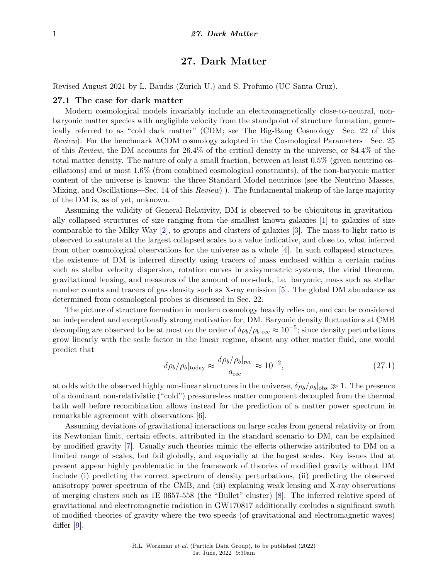# **27. Dark Matter**

Revised August 2021 by L. Baudis (Zurich U.) and S. Profumo (UC Santa Cruz).

### **27.1 The case for dark matter**

Modern cosmological models invariably include an electromagnetically close-to-neutral, nonbaryonic matter species with negligible velocity from the standpoint of structure formation, generically referred to as "cold dark matter" (CDM; see The Big-Bang Cosmology—Sec. 22 of this *Review*). For the benchmark ΛCDM cosmology adopted in the Cosmological Parameters—Sec. 25 of this *Review*, the DM accounts for 26.4% of the critical density in the universe, or 84.4% of the total matter density. The nature of only a small fraction, between at least 0.5% (given neutrino oscillations) and at most 1.6% (from combined cosmological constraints), of the non-baryonic matter content of the universe is known: the three Standard Model neutrinos (see the Neutrino Masses, Mixing, and Oscillations—Sec. 14 of this *Review*) ). The fundamental makeup of the large majority of the DM is, as of yet, unknown.

Assuming the validity of General Relativity, DM is observed to be ubiquitous in gravitationally collapsed structures of size ranging from the smallest known galaxies [\[1\]](#page-23-0) to galaxies of size comparable to the Milky Way [\[2\]](#page-23-1), to groups and clusters of galaxies [\[3\]](#page-23-2). The mass-to-light ratio is observed to saturate at the largest collapsed scales to a value indicative, and close to, what inferred from other cosmological observations for the universe as a whole [\[4\]](#page-23-3). In such collapsed structures, the existence of DM is inferred directly using tracers of mass enclosed within a certain radius such as stellar velocity dispersion, rotation curves in axisymmetric systems, the virial theorem, gravitational lensing, and measures of the amount of non-dark, i.e. baryonic, mass such as stellar number counts and tracers of gas density such as X-ray emission [\[5\]](#page-23-4). The global DM abundance as determined from cosmological probes is discussed in Sec. 22.

The picture of structure formation in modern cosmology heavily relies on, and can be considered an independent and exceptionally strong motivation for, DM. Baryonic density fluctuations at CMB decoupling are observed to be at most on the order of  $\delta \rho_b / \rho_b|_{\text{rec}} \approx 10^{-5}$ ; since density perturbations grow linearly with the scale factor in the linear regime, absent any other matter fluid, one would predict that

$$
\delta \rho_b / \rho_b |_{\text{today}} \approx \frac{\delta \rho_b / \rho_b |_{\text{rec}}}{a_{\text{rec}}} \approx 10^{-2},\tag{27.1}
$$

at odds with the observed highly non-linear structures in the universe,  $\delta \rho_b / \rho_b |_{\text{obs}} \gg 1$ . The presence of a dominant non-relativistic ("cold") pressure-less matter component decoupled from the thermal bath well before recombination allows instead for the prediction of a matter power spectrum in remarkable agreement with observations [\[6\]](#page-23-5).

Assuming deviations of gravitational interactions on large scales from general relativity or from its Newtonian limit, certain effects, attributed in the standard scenario to DM, can be explained by modified gravity [\[7\]](#page-23-6). Usually such theories mimic the effects otherwise attributed to DM on a limited range of scales, but fail globally, and especially at the largest scales. Key issues that at present appear highly problematic in the framework of theories of modified gravity without DM include (i) predicting the correct spectrum of density perturbations, (ii) predicting the observed anisotropy power spectrum of the CMB, and (iii) explaining weak lensing and X-ray observations of merging clusters such as 1E 0657-558 (the "Bullet" cluster) [\[8\]](#page-23-7). The inferred relative speed of gravitational and electromagnetic radiation in GW170817 additionally excludes a significant swath of modified theories of gravity where the two speeds (of gravitational and electromagnetic waves) differ [\[9\]](#page-23-8).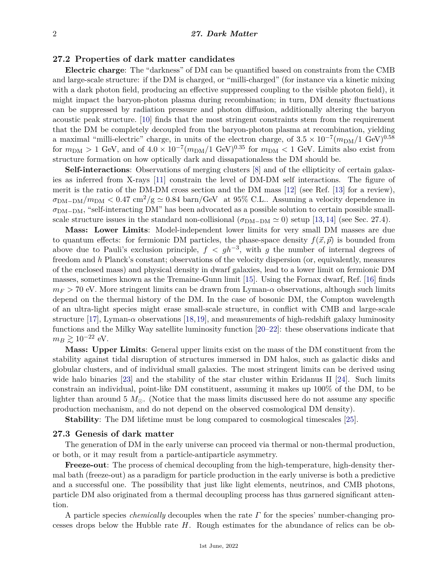# **27.2 Properties of dark matter candidates**

**Electric charge**: The "darkness" of DM can be quantified based on constraints from the CMB and large-scale structure: if the DM is charged, or "milli-charged" (for instance via a kinetic mixing with a dark photon field, producing an effective suppressed coupling to the visible photon field), it might impact the baryon-photon plasma during recombination; in turn, DM density fluctuations can be suppressed by radiation pressure and photon diffusion, additionally altering the baryon acoustic peak structure. [\[10\]](#page-23-9) finds that the most stringent constraints stem from the requirement that the DM be completely decoupled from the baryon-photon plasma at recombination, yielding a maximal "milli-electric" charge, in units of the electron charge, of  $3.5 \times 10^{-7} (m_{\rm DM}/1 \text{ GeV})^{0.58}$  $f_{\rm 100}$   $\rm \sim 1~GeV$ , and of  $4.0 \times 10^{-7} (m_{\rm DM}/1~\rm GeV)^{0.35}$  for  $m_{\rm DM} < 1~\rm GeV$ . Limits also exist from structure formation on how optically dark and dissapationaless the DM should be.

**Self-interactions**: Observations of merging clusters [\[8\]](#page-23-7) and of the ellipticity of certain galaxies as inferred from X-rays [\[11\]](#page-23-10) constrain the level of DM-DM self interactions. The figure of merit is the ratio of the DM-DM cross section and the DM mass  $[12]$  (see Ref. [\[13\]](#page-23-12) for a review),  $\sigma_{\text{DM}-\text{DM}}/m_{\text{DM}} < 0.47 \text{ cm}^2/\text{g} \simeq 0.84 \text{ barn/GeV}$  at 95% C.L.. Assuming a velocity dependence in  $\sigma_{DM-DM}$ , "self-interacting DM" has been advocated as a possible solution to certain possible smallscale structure issues in the standard non-collisional  $(\sigma_{DM-DM} \simeq 0)$  setup [\[13,](#page-23-12) [14\]](#page-23-13) (see Sec. 27.4).

**Mass: Lower Limits**: Model-independent lower limits for very small DM masses are due to quantum effects: for fermionic DM particles, the phase-space density  $f(\vec{x}, \vec{p})$  is bounded from above due to Pauli's exclusion principle,  $f < gh^{-3}$ , with *g* the number of internal degrees of freedom and *h* Planck's constant; observations of the velocity dispersion (or, equivalently, measures of the enclosed mass) and physical density in dwarf galaxies, lead to a lower limit on fermionic DM masses, sometimes known as the Tremaine-Gunn limit [\[15\]](#page-23-14). Using the Fornax dwarf, Ref. [\[16\]](#page-23-15) finds  $m_F > 70$  eV. More stringent limits can be drawn from Lyman- $\alpha$  observations, although such limits depend on the thermal history of the DM. In the case of bosonic DM, the Compton wavelength of an ultra-light species might erase small-scale structure, in conflict with CMB and large-scale structure [\[17\]](#page-23-16), Lyman-*α* observations [\[18,](#page-23-17)[19\]](#page-23-18), and measurements of high-redshift galaxy luminosity functions and the Milky Way satellite luminosity function [\[20–](#page-23-19)[22\]](#page-23-20): these observations indicate that  $m_B \gtrsim 10^{-22}$  eV.

**Mass: Upper Limits**: General upper limits exist on the mass of the DM constituent from the stability against tidal disruption of structures immersed in DM halos, such as galactic disks and globular clusters, and of individual small galaxies. The most stringent limits can be derived using wide halo binaries [\[23\]](#page-23-21) and the stability of the star cluster within Eridanus II [\[24\]](#page-23-22). Such limits constrain an individual, point-like DM constituent, assuming it makes up 100% of the DM, to be lighter than around  $5 M_{\odot}$ . (Notice that the mass limits discussed here do not assume any specific production mechanism, and do not depend on the observed cosmological DM density).

**Stability**: The DM lifetime must be long compared to cosmological timescales [\[25\]](#page-23-23).

### **27.3 Genesis of dark matter**

The generation of DM in the early universe can proceed via thermal or non-thermal production, or both, or it may result from a particle-antiparticle asymmetry.

**Freeze-out**: The process of chemical decoupling from the high-temperature, high-density thermal bath (freeze-out) as a paradigm for particle production in the early universe is both a predictive and a successful one. The possibility that just like light elements, neutrinos, and CMB photons, particle DM also originated from a thermal decoupling process has thus garnered significant attention.

A particle species *chemically* decouples when the rate *Γ* for the species' number-changing processes drops below the Hubble rate *H*. Rough estimates for the abundance of relics can be ob-

1st June, 2022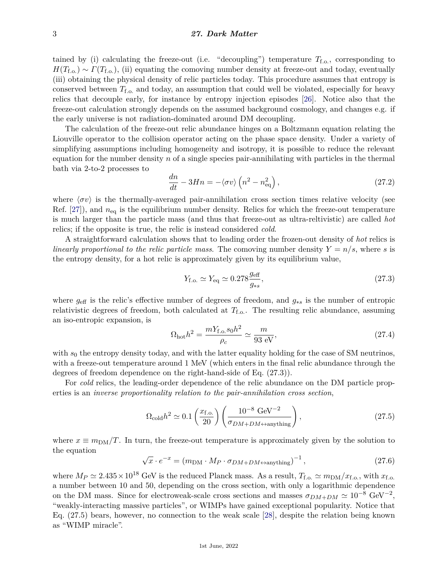#### 3 *27. Dark Matter*

tained by (i) calculating the freeze-out (i.e. "decoupling") temperature  $T_{f.o.}$ , corresponding to  $H(T_{f.o.}) \sim \Gamma(T_{f.o.})$ , (ii) equating the comoving number density at freeze-out and today, eventually (iii) obtaining the physical density of relic particles today. This procedure assumes that entropy is conserved between  $T_{f,o}$  and today, an assumption that could well be violated, especially for heavy relics that decouple early, for instance by entropy injection episodes [\[26\]](#page-23-24). Notice also that the freeze-out calculation strongly depends on the assumed background cosmology, and changes e.g. if the early universe is not radiation-dominated around DM decoupling.

The calculation of the freeze-out relic abundance hinges on a Boltzmann equation relating the Liouville operator to the collision operator acting on the phase space density. Under a variety of simplifying assumptions including homogeneity and isotropy, it is possible to reduce the relevant equation for the number density *n* of a single species pair-annihilating with particles in the thermal bath via 2-to-2 processes to

$$
\frac{dn}{dt} - 3Hn = -\langle \sigma v \rangle \left( n^2 - n_{\text{eq}}^2 \right),\tag{27.2}
$$

where  $\langle \sigma v \rangle$  is the thermally-averaged pair-annihilation cross section times relative velocity (see Ref. [\[27\]](#page-23-25)), and  $n_{eq}$  is the equilibrium number density. Relics for which the freeze-out temperature is much larger than the particle mass (and thus that freeze-out as ultra-reltivistic) are called *hot* relics; if the opposite is true, the relic is instead considered *cold*.

A straightforward calculation shows that to leading order the frozen-out density of *hot* relics is *linearly proportional to the relic particle mass. The comoving number density*  $Y = n/s$ , where *s* is the entropy density, for a hot relic is approximately given by its equilibrium value,

$$
Y_{\text{f.o.}} \simeq Y_{\text{eq}} \simeq 0.278 \frac{g_{\text{eff}}}{g_{*s}},\tag{27.3}
$$

where  $g_{\text{eff}}$  is the relic's effective number of degrees of freedom, and  $g_{*s}$  is the number of entropic relativistic degrees of freedom, both calculated at *T*f*.*o*.* . The resulting relic abundance, assuming an iso-entropic expansion, is

$$
\Omega_{\text{hot}} h^2 = \frac{m Y_{\text{f.o.}} s_0 h^2}{\rho_c} \simeq \frac{m}{93 \text{ eV}},\tag{27.4}
$$

with  $s_0$  the entropy density today, and with the latter equality holding for the case of SM neutrinos, with a freeze-out temperature around 1 MeV (which enters in the final relic abundance through the degrees of freedom dependence on the right-hand-side of Eq. (27.3)).

For *cold* relics, the leading-order dependence of the relic abundance on the DM particle properties is an *inverse proportionality relation to the pair-annihilation cross section*,

$$
\Omega_{\text{cold}}h^2 \simeq 0.1 \left(\frac{x_{\text{f.o.}}}{20}\right) \left(\frac{10^{-8} \text{ GeV}^{-2}}{\sigma_{DM+DM \leftrightarrow \text{anything}}}\right),\tag{27.5}
$$

where  $x \equiv m_{\text{DM}}/T$ . In turn, the freeze-out temperature is approximately given by the solution to the equation √

$$
\sqrt{x} \cdot e^{-x} = (m_{\rm DM} \cdot M_P \cdot \sigma_{DM + DM \leftrightarrow \text{anything}})^{-1},\tag{27.6}
$$

where  $M_P \simeq 2.435 \times 10^{18}$  GeV is the reduced Planck mass. As a result,  $T_{f.o.} \simeq m_{DM}/x_{f.o.}$ , with  $x_{f.o.}$ a number between 10 and 50, depending on the cross section, with only a logarithmic dependence on the DM mass. Since for electroweak-scale cross sections and masses  $\sigma_{DM+DM} \simeq 10^{-8} \text{ GeV}^{-2}$ , "weakly-interacting massive particles", or WIMPs have gained exceptional popularity. Notice that Eq. (27.5) bears, however, no connection to the weak scale [\[28\]](#page-23-26), despite the relation being known as "WIMP miracle".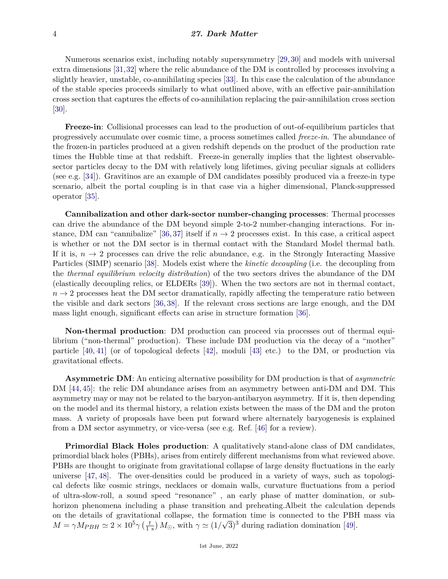Numerous scenarios exist, including notably supersymmetry [\[29,](#page-23-27)[30\]](#page-23-28) and models with universal extra dimensions [\[31,](#page-23-29)[32\]](#page-23-30) where the relic abundance of the DM is controlled by processes involving a slightly heavier, unstable, co-annihilating species [\[33\]](#page-24-0). In this case the calculation of the abundance of the stable species proceeds similarly to what outlined above, with an effective pair-annihilation cross section that captures the effects of co-annihilation replacing the pair-annihilation cross section  $|30|$ .

**Freeze-in**: Collisional processes can lead to the production of out-of-equilibrium particles that progressively accumulate over cosmic time, a process sometimes called *freeze-in*. The abundance of the frozen-in particles produced at a given redshift depends on the product of the production rate times the Hubble time at that redshift. Freeze-in generally implies that the lightest observablesector particles decay to the DM with relatively long lifetimes, giving peculiar signals at colliders (see e.g. [\[34\]](#page-24-1)). Gravitinos are an example of DM candidates possibly produced via a freeze-in type scenario, albeit the portal coupling is in that case via a higher dimensional, Planck-suppressed operator [\[35\]](#page-24-2).

**Cannibalization and other dark-sector number-changing processes**: Thermal processes can drive the abundance of the DM beyond simple 2-to-2 number-changing interactions. For in-stance, DM can "cannibalize" [\[36,](#page-24-3) [37\]](#page-24-4) itself if  $n \to 2$  processes exist. In this case, a critical aspect is whether or not the DM sector is in thermal contact with the Standard Model thermal bath. If it is,  $n \to 2$  processes can drive the relic abundance, e.g. in the Strongly Interacting Massive Particles (SIMP) scenario [\[38\]](#page-24-5). Models exist where the *kinetic decoupling* (i.e. the decoupling from the *thermal equilibrium velocity distribution*) of the two sectors drives the abundance of the DM (elastically decoupling relics, or ELDERs [\[39\]](#page-24-6)). When the two sectors are not in thermal contact,  $n \to 2$  processes heat the DM sector dramatically, rapidly affecting the temperature ratio between the visible and dark sectors [\[36,](#page-24-3) [38\]](#page-24-5). If the relevant cross sections are large enough, and the DM mass light enough, significant effects can arise in structure formation [\[36\]](#page-24-3).

**Non-thermal production**: DM production can proceed via processes out of thermal equilibrium ("non-thermal" production). These include DM production via the decay of a "mother" particle [\[40,](#page-24-7) [41\]](#page-24-8) (or of topological defects [\[42\]](#page-24-9), moduli [\[43\]](#page-24-10) etc.) to the DM, or production via gravitational effects.

**Asymmetric DM**: An enticing alternative possibility for DM production is that of *asymmetric* DM [\[44,](#page-24-11) [45\]](#page-24-12): the relic DM abundance arises from an asymmetry between anti-DM and DM. This asymmetry may or may not be related to the baryon-antibaryon asymmetry. If it is, then depending on the model and its thermal history, a relation exists between the mass of the DM and the proton mass. A variety of proposals have been put forward where alternately baryogenesis is explained from a DM sector asymmetry, or vice-versa (see e.g. Ref. [\[46\]](#page-24-13) for a review).

**Primordial Black Holes production**: A qualitatively stand-alone class of DM candidates, primordial black holes (PBHs), arises from entirely different mechanisms from what reviewed above. PBHs are thought to originate from gravitational collapse of large density fluctuations in the early universe [\[47,](#page-24-14) [48\]](#page-24-15). The over-densities could be produced in a variety of ways, such as topological defects like cosmic strings, necklaces or domain walls, curvature fluctuations from a period of ultra-slow-roll, a sound speed "resonance" , an early phase of matter domination, or subhorizon phenomena including a phase transition and preheating.Albeit the calculation depends on the details of gravitational collapse, the formation time is connected to the PBH mass via  $M = \gamma M_{PBH} \simeq 2 \times 10^5 \gamma \left(\frac{t}{1}\right)$  $\frac{t}{1 \text{ s}}$ )  $M_{\odot}$ , with  $\gamma \simeq (1/\sqrt{3})^3$  during radiation domination [\[49\]](#page-24-16).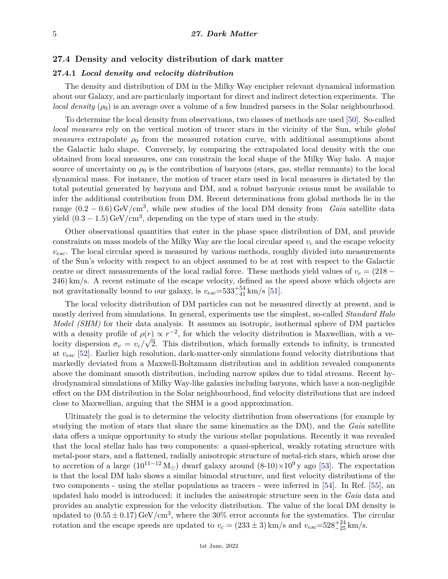### **27.4 Density and velocity distribution of dark matter**

#### **27.4.1** *Local density and velocity distribution*

The density and distribution of DM in the Milky Way encipher relevant dynamical information about our Galaxy, and are particularly important for direct and indirect detection experiments. The *local density*  $(\rho_0)$  is an average over a volume of a few hundred parsecs in the Solar neighbourhood.

To determine the local density from observations, two classes of methods are used [\[50\]](#page-24-17). So-called *local measures* rely on the vertical motion of tracer stars in the vicinity of the Sun, while *global measures* extrapolate  $\rho_0$  from the measured rotation curve, with additional assumptions about the Galactic halo shape. Conversely, by comparing the extrapolated local density with the one obtained from local measures, one can constrain the local shape of the Milky Way halo. A major source of uncertainty on  $\rho_0$  is the contribution of baryons (stars, gas, stellar remnants) to the local dynamical mass. For instance, the motion of tracer stars used in local measures is dictated by the total potential generated by baryons and DM, and a robust baryonic census must be available to infer the additional contribution from DM. Recent determinations from global methods lie in the range (0*.*2 − 0*.*6) GeV/cm<sup>3</sup> , while new studies of the local DM density from *Gaia* satellite data yield  $(0.3 - 1.5) \text{ GeV}/\text{cm}^3$ , depending on the type of stars used in the study.

Other observational quantities that enter in the phase space distribution of DM, and provide constraints on mass models of the Milky Way are the local circular speed *v<sup>c</sup>* and the escape velocity *vesc*. The local circular speed is measured by various methods, roughly divided into measurements of the Sun's velocity with respect to an object assumed to be at rest with respect to the Galactic centre or direct measurements of the local radial force. These methods yield values of  $v_c = (218 -$ 246) km/s. A recent estimate of the escape velocity, defined as the speed above which objects are not gravitationally bound to our galaxy, is  $v_{esc} = 533^{+54}_{-41}$  km/s [\[51\]](#page-24-18).

The local velocity distribution of DM particles can not be measured directly at present, and is mostly derived from simulations. In general, experiments use the simplest, so-called *Standard Halo Model (SHM)* for their data analysis. It assumes an isotropic, isothermal sphere of DM particles with a density profile of  $\rho(r) \propto r^{-2}$ , for which the velocity distribution is Maxwellian, with a velocity dispersion  $\sigma_v = v_c/\sqrt{2}$ . This distribution, which formally extends to infinity, is truncated at *vesc* [\[52\]](#page-24-19). Earlier high resolution, dark-matter-only simulations found velocity distributions that markedly deviated from a Maxwell-Boltzmann distribution and in addition revealed components above the dominant smooth distribution, including narrow spikes due to tidal streams. Recent hydrodynamical simulations of Milky Way-like galaxies including baryons, which have a non-negligible effect on the DM distribution in the Solar neighbourhood, find velocity distributions that are indeed close to Maxwellian, arguing that the SHM is a good approximation.

Ultimately the goal is to determine the velocity distribution from observations (for example by studying the motion of stars that share the same kinematics as the DM), and the *Gaia* satellite data offers a unique opportunity to study the various stellar populations. Recently it was revealed that the local stellar halo has two components: a quasi-spherical, weakly rotating structure with metal-poor stars, and a flattened, radially anisotropic structure of metal-rich stars, which arose due to accretion of a large  $(10^{11-12} M_{\odot})$  dwarf galaxy around  $(8-10) \times 10^9$  y ago [\[53\]](#page-24-20). The expectation is that the local DM halo shows a similar bimodal structure, and first velocity distributions of the two components - using the stellar populations as tracers - were inferred in [\[54\]](#page-24-21). In Ref. [\[55\]](#page-24-22), an updated halo model is introduced: it includes the anisotropic structure seen in the *Gaia* data and provides an analytic expression for the velocity distribution. The value of the local DM density is updated to  $(0.55 \pm 0.17)$  GeV/cm<sup>3</sup>, where the 30% error accounts for the systematics. The circular rotation and the escape speeds are updated to  $v_c = (233 \pm 3)$  km/s and  $v_{esc} = 528^{+24}_{-25}$  km/s.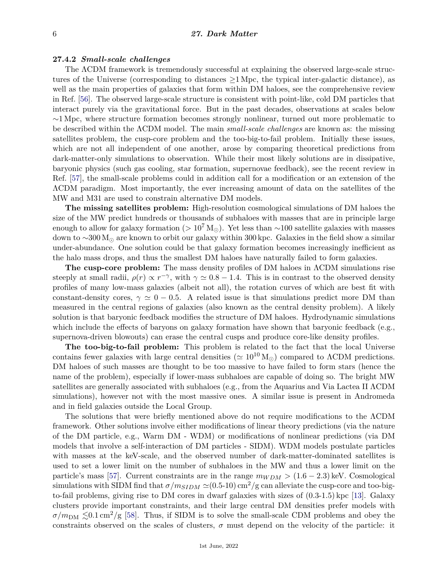#### **27.4.2** *Small-scale challenges*

The ΛCDM framework is tremendously successful at explaining the observed large-scale structures of the Universe (corresponding to distances  $\geq$ 1 Mpc, the typical inter-galactic distance), as well as the main properties of galaxies that form within DM haloes, see the comprehensive review in Ref. [\[56\]](#page-24-23). The observed large-scale structure is consistent with point-like, cold DM particles that interact purely via the gravitational force. But in the past decades, observations at scales below ∼1 Mpc, where structure formation becomes strongly nonlinear, turned out more problematic to be described within the ΛCDM model. The main *small-scale challenges* are known as: the missing satellites problem, the cusp-core problem and the too-big-to-fail problem. Initially these issues, which are not all independent of one another, arose by comparing theoretical predictions from dark-matter-only simulations to observation. While their most likely solutions are in dissipative, baryonic physics (such gas cooling, star formation, supernovae feedback), see the recent review in Ref. [\[57\]](#page-24-24), the small-scale problems could in addition call for a modification or an extension of the ΛCDM paradigm. Most importantly, the ever increasing amount of data on the satellites of the MW and M31 are used to constrain alternative DM models.

**The missing satellites problem:** High-resolution cosmological simulations of DM haloes the size of the MW predict hundreds or thousands of subhaloes with masses that are in principle large enough to allow for galaxy formation (*>* 10<sup>7</sup> M). Yet less than ∼100 satellite galaxies with masses down to ∼300 M<sub>∩</sub> are known to orbit our galaxy within 300 kpc. Galaxies in the field show a similar under-abundance. One solution could be that galaxy formation becomes increasingly inefficient as the halo mass drops, and thus the smallest DM haloes have naturally failed to form galaxies.

**The cusp-core problem:** The mass density profiles of DM haloes in ΛCDM simulations rise steeply at small radii,  $\rho(r) \propto r^{-\gamma}$ , with  $\gamma \simeq 0.8 - 1.4$ . This is in contrast to the observed density profiles of many low-mass galaxies (albeit not all), the rotation curves of which are best fit with constant-density cores,  $\gamma \simeq 0 - 0.5$ . A related issue is that simulations predict more DM than measured in the central regions of galaxies (also known as the central density problem). A likely solution is that baryonic feedback modifies the structure of DM haloes. Hydrodynamic simulations which include the effects of baryons on galaxy formation have shown that baryonic feedback (e.g., supernova-driven blowouts) can erase the central cusps and produce core-like density profiles.

**The too-big-to-fail problem:** This problem is related to the fact that the local Universe contains fewer galaxies with large central densities ( $\simeq 10^{10} \,\mathrm{M}_{\odot}$ ) compared to ΛCDM predictions. DM haloes of such masses are thought to be too massive to have failed to form stars (hence the name of the problem), especially if lower-mass subhaloes are capable of doing so. The bright MW satellites are generally associated with subhaloes (e.g., from the Aquarius and Via Lactea II ΛCDM simulations), however not with the most massive ones. A similar issue is present in Andromeda and in field galaxies outside the Local Group.

The solutions that were briefly mentioned above do not require modifications to the ΛCDM framework. Other solutions involve either modifications of linear theory predictions (via the nature of the DM particle, e.g., Warm DM - WDM) or modifications of nonlinear predictions (via DM models that involve a self-interaction of DM particles - SIDM). WDM models postulate particles with masses at the keV-scale, and the observed number of dark-matter-dominated satellites is used to set a lower limit on the number of subhaloes in the MW and thus a lower limit on the particle's mass [\[57\]](#page-24-24). Current constraints are in the range  $m_{WDM} > (1.6 - 2.3)$  keV. Cosmological simulations with SIDM find that  $\sigma/m_{SIDM} \simeq (0.5{\text -}10) \text{ cm}^2/\text{g}$  can alleviate the cusp-core and too-bigto-fail problems, giving rise to DM cores in dwarf galaxies with sizes of (0.3-1.5) kpc [\[13\]](#page-23-12). Galaxy clusters provide important constraints, and their large central DM densities prefer models with  $\sigma/m_{\text{DM}} \lesssim 0.1 \text{ cm}^2/\text{g}$  [\[58\]](#page-24-25). Thus, if SIDM is to solve the small-scale CDM problems and obey the constraints observed on the scales of clusters,  $\sigma$  must depend on the velocity of the particle: it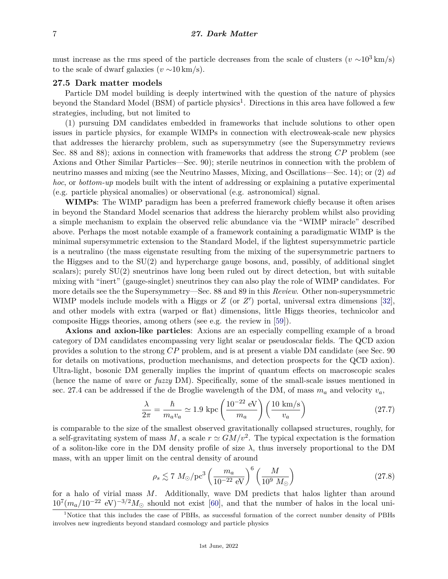must increase as the rms speed of the particle decreases from the scale of clusters  $(v \sim 10^3 \text{ km/s})$ to the scale of dwarf galaxies ( $v \sim 10 \,\mathrm{km/s}$ ).

# **27.5 Dark matter models**

Particle DM model building is deeply intertwined with the question of the nature of physics beyond the Standard Model (BSM) of particle physics<sup>[1](#page-6-0)</sup>. Directions in this area have followed a few strategies, including, but not limited to

(1) pursuing DM candidates embedded in frameworks that include solutions to other open issues in particle physics, for example WIMPs in connection with electroweak-scale new physics that addresses the hierarchy problem, such as supersymmetry (see the Supersymmetry reviews Sec. 88 and 88); axions in connection with frameworks that address the strong *CP* problem (see Axions and Other Similar Particles—Sec. 90); sterile neutrinos in connection with the problem of neutrino masses and mixing (see the Neutrino Masses, Mixing, and Oscillations—Sec. 14); or (2) *ad hoc*, or *bottom-up* models built with the intent of addressing or explaining a putative experimental (e.g. particle physical anomalies) or observational (e.g. astronomical) signal.

**WIMPs**: The WIMP paradigm has been a preferred framework chiefly because it often arises in beyond the Standard Model scenarios that address the hierarchy problem whilst also providing a simple mechanism to explain the observed relic abundance via the "WIMP miracle" described above. Perhaps the most notable example of a framework containing a paradigmatic WIMP is the minimal supersymmetric extension to the Standard Model, if the lightest supersymmetric particle is a neutralino (the mass eigenstate resulting from the mixing of the supersymmetric partners to the Higgses and to the SU(2) and hypercharge gauge bosons, and, possibly, of additional singlet scalars); purely SU(2) sneutrinos have long been ruled out by direct detection, but with suitable mixing with "inert" (gauge-singlet) sneutrinos they can also play the role of WIMP candidates. For more details see the the Supersymmetry—Sec. 88 and 89 in this *Review*. Other non-superysmmetric WIMP models include models with a Higgs or  $Z$  (or  $Z'$ ) portal, universal extra dimensions [\[32\]](#page-23-30), and other models with extra (warped or flat) dimensions, little Higgs theories, technicolor and composite Higgs theories, among others (see e.g. the review in [\[59\]](#page-24-26)).

**Axions and axion-like particles**: Axions are an especially compelling example of a broad category of DM candidates encompassing very light scalar or pseudoscalar fields. The QCD axion provides a solution to the strong *CP* problem, and is at present a viable DM candidate (see Sec. 90 for details on motivations, production mechanisms, and detection prospects for the QCD axion). Ultra-light, bosonic DM generally implies the imprint of quantum effects on macroscopic scales (hence the name of *wave* or *fuzzy* DM). Specifically, some of the small-scale issues mentioned in sec. 27.4 can be addressed if the de Broglie wavelength of the DM, of mass  $m_a$  and velocity  $v_a$ ,

$$
\frac{\lambda}{2\pi} = \frac{\hbar}{m_a v_a} \simeq 1.9 \text{ kpc} \left( \frac{10^{-22} \text{ eV}}{m_a} \right) \left( \frac{10 \text{ km/s}}{v_a} \right) \tag{27.7}
$$

is comparable to the size of the smallest observed gravitationally collapsed structures, roughly, for a self-gravitating system of mass M, a scale  $r \simeq GM/v^2$ . The typical expectation is the formation of a soliton-like core in the DM density profile of size  $\lambda$ , thus inversely proportional to the DM mass, with an upper limit on the central density of around

$$
\rho_s \lesssim 7 \ M_{\odot}/\text{pc}^3 \left(\frac{m_a}{10^{-22} \text{ eV}}\right)^6 \left(\frac{M}{10^9 \ M_{\odot}}\right) \tag{27.8}
$$

for a halo of virial mass *M*. Additionally, wave DM predicts that halos lighter than around  $10^{7}(m_a/10^{-22} \text{ eV})^{-3/2}M_{\odot}$  should not exist [\[60\]](#page-24-27), and that the number of halos in the local uni-

<span id="page-6-0"></span><sup>&</sup>lt;sup>1</sup>Notice that this includes the case of PBHs, as successful formation of the correct number density of PBHs involves new ingredients beyond standard cosmology and particle physics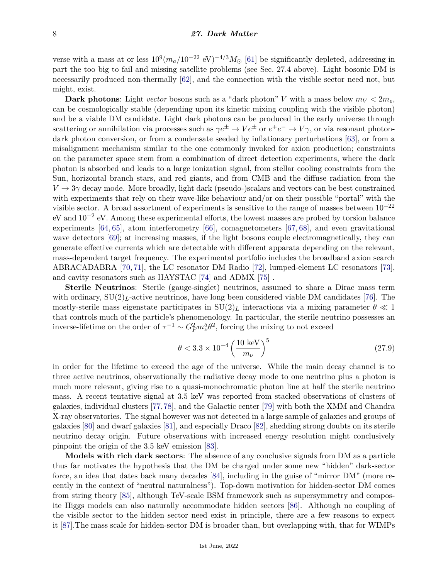verse with a mass at or less  $10^9(m_a/10^{-22} \text{ eV})^{-4/3} M_{\odot}$  [\[61\]](#page-24-28) be significantly depleted, addressing in part the too big to fail and missing satellite problems (see Sec. 27.4 above). Light bosonic DM is necessarily produced non-thermally [\[62\]](#page-24-29), and the connection with the visible sector need not, but might, exist.

**Dark photons**: Light *vector* bosons such as a "dark photon" *V* with a mass below  $m_V < 2m_e$ , can be cosmologically stable (depending upon its kinetic mixing coupling with the visible photon) and be a viable DM candidate. Light dark photons can be produced in the early universe through scattering or annihilation via processes such as  $\gamma e^{\pm} \to V e^{\pm}$  or  $e^+ e^- \to V \gamma$ , or via resonant photondark photon conversion, or from a condensate seeded by inflationary perturbations [\[63\]](#page-24-30), or from a misalignment mechanism similar to the one commonly invoked for axion production; constraints on the parameter space stem from a combination of direct detection experiments, where the dark photon is absorbed and leads to a large ionization signal, from stellar cooling constraints from the Sun, horizontal branch stars, and red giants, and from CMB and the diffuse radiation from the  $V \rightarrow 3\gamma$  decay mode. More broadly, light dark (pseudo-)scalars and vectors can be best constrained with experiments that rely on their wave-like behaviour and/or on their possible "portal" with the visible sector. A broad assortment of experiments is sensitive to the range of masses between  $10^{-22}$ eV and 10−<sup>2</sup> eV. Among these experimental efforts, the lowest masses are probed by torsion balance experiments [\[64,](#page-24-31) [65\]](#page-24-32), atom interferometry [\[66\]](#page-24-33), comagnetometers [\[67,](#page-24-34) [68\]](#page-24-35), and even gravitational wave detectors [\[69\]](#page-24-36); at increasing masses, if the light bosons couple electromagnetically, they can generate effective currents which are detectable with different apparata depending on the relevant, mass-dependent target frequency. The experimental portfolio includes the broadband axion search ABRACADABRA [\[70,](#page-25-0) [71\]](#page-25-1), the LC resonator DM Radio [\[72\]](#page-25-2), lumped-element LC resonators [\[73\]](#page-25-3), and cavity resonators such as HAYSTAC [\[74\]](#page-25-4) and ADMX [\[75\]](#page-25-5) .

**Sterile Neutrinos**: Sterile (gauge-singlet) neutrinos, assumed to share a Dirac mass term with ordinary,  $SU(2)_L$ -active neutrinos, have long been considered viable DM candidates [\[76\]](#page-25-6). The mostly-sterile mass eigenstate participates in  $SU(2)_L$  interactions via a mixing parameter  $\theta \ll 1$ that controls much of the particle's phenomenology. In particular, the sterile neutrino possesses an inverse-lifetime on the order of  $\tau^{-1} \sim G_F^2 m_\nu^5 \theta^2$ , forcing the mixing to not exceed

$$
\theta < 3.3 \times 10^{-4} \left(\frac{10 \text{ keV}}{m_{\nu}}\right)^5 \tag{27.9}
$$

in order for the lifetime to exceed the age of the universe. While the main decay channel is to three active neutrinos, observationally the radiative decay mode to one neutrino plus a photon is much more relevant, giving rise to a quasi-monochromatic photon line at half the sterile neutrino mass. A recent tentative signal at 3.5 keV was reported from stacked observations of clusters of galaxies, individual clusters [\[77,](#page-25-7)[78\]](#page-25-8), and the Galactic center [\[79\]](#page-25-9) with both the XMM and Chandra X-ray observatories. The signal however was not detected in a large sample of galaxies and groups of galaxies [\[80\]](#page-25-10) and dwarf galaxies [\[81\]](#page-25-11), and especially Draco [\[82\]](#page-25-12), shedding strong doubts on its sterile neutrino decay origin. Future observations with increased energy resolution might conclusively pinpoint the origin of the 3.5 keV emission [\[83\]](#page-25-13).

**Models with rich dark sectors**: The absence of any conclusive signals from DM as a particle thus far motivates the hypothesis that the DM be charged under some new "hidden" dark-sector force, an idea that dates back many decades [\[84\]](#page-25-14), including in the guise of "mirror DM" (more recently in the context of "neutral naturalness"). Top-down motivation for hidden-sector DM comes from string theory [\[85\]](#page-25-15), although TeV-scale BSM framework such as supersymmetry and composite Higgs models can also naturally accommodate hidden sectors [\[86\]](#page-25-16). Although no coupling of the visible sector to the hidden sector need exist in principle, there are a few reasons to expect it [\[87\]](#page-25-17).The mass scale for hidden-sector DM is broader than, but overlapping with, that for WIMPs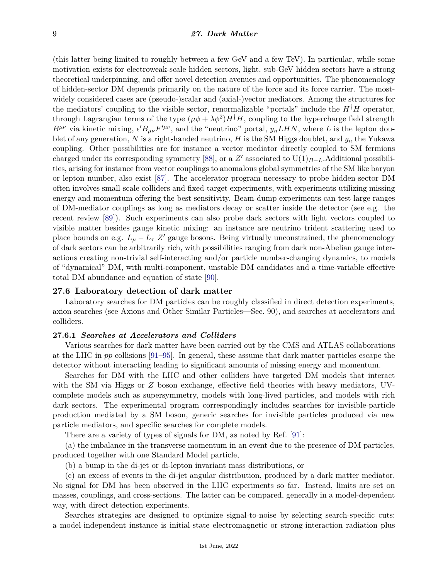#### 9 *27. Dark Matter*

(this latter being limited to roughly between a few GeV and a few TeV). In particular, while some motivation exists for electroweak-scale hidden sectors, light, sub-GeV hidden sectors have a strong theoretical underpinning, and offer novel detection avenues and opportunities. The phenomenology of hidden-sector DM depends primarily on the nature of the force and its force carrier. The mostwidely considered cases are (pseudo-)scalar and (axial-)vector mediators. Among the structures for the mediators' coupling to the visible sector, renormalizable "portals" include the  $H^{\dagger}H$  operator, through Lagrangian terms of the type  $(\mu \phi + \lambda \phi^2) H^{\dagger} H$ , coupling to the hypercharge field strength  $B^{\mu\nu}$  via kinetic mixing,  $\epsilon' B_{\mu\nu} F'^{\mu\nu}$ , and the "neutrino" portal,  $y_n L H N$ , where *L* is the lepton doublet of any generation, *N* is a right-handed neutrino, *H* is the SM Higgs doublet, and *y<sup>n</sup>* the Yukawa coupling. Other possibilities are for instance a vector mediator directly coupled to SM fermions charged under its corresponding symmetry [\[88\]](#page-25-18), or a  $Z'$  associated to  $U(1)_{B-L}$ . Additional possibilities, arising for instance from vector couplings to anomalous global symmetries of the SM like baryon or lepton number, also exist [\[87\]](#page-25-17). The accelerator program necessary to probe hidden-sector DM often involves small-scale colliders and fixed-target experiments, with experiments utilizing missing energy and momentum offering the best sensitivity. Beam-dump experiments can test large ranges of DM-mediator couplings as long as mediators decay or scatter inside the detector (see e.g. the recent review [\[89\]](#page-25-19)). Such experiments can also probe dark sectors with light vectors coupled to visible matter besides gauge kinetic mixing: an instance are neutrino trident scattering used to place bounds on e.g.  $L_{\mu} - L_{\tau} Z'$  gauge bosons. Being virtually unconstrained, the phenomenology of dark sectors can be arbitrarily rich, with possibilities ranging from dark non-Abelian gauge interactions creating non-trivial self-interacting and/or particle number-changing dynamics, to models of "dynamical" DM, with multi-component, unstable DM candidates and a time-variable effective total DM abundance and equation of state [\[90\]](#page-25-20).

### **27.6 Laboratory detection of dark matter**

Laboratory searches for DM particles can be roughly classified in direct detection experiments, axion searches (see Axions and Other Similar Particles—Sec. 90), and searches at accelerators and colliders.

#### **27.6.1** *Searches at Accelerators and Colliders*

Various searches for dark matter have been carried out by the CMS and ATLAS collaborations at the LHC in *pp* collisions [\[91](#page-25-21)[–95\]](#page-25-22). In general, these assume that dark matter particles escape the detector without interacting leading to significant amounts of missing energy and momentum.

Searches for DM with the LHC and other colliders have targeted DM models that interact with the SM via Higgs or *Z* boson exchange, effective field theories with heavy mediators, UVcomplete models such as supersymmetry, models with long-lived particles, and models with rich dark sectors. The experimental program correspondingly includes searches for invisible-particle production mediated by a SM boson, generic searches for invisible particles produced via new particle mediators, and specific searches for complete models.

There are a variety of types of signals for DM, as noted by Ref. [\[91\]](#page-25-21):

(a) the imbalance in the transverse momentum in an event due to the presence of DM particles, produced together with one Standard Model particle,

(b) a bump in the di-jet or di-lepton invariant mass distributions, or

(c) an excess of events in the di-jet angular distribution, produced by a dark matter mediator. No signal for DM has been observed in the LHC experiments so far. Instead, limits are set on masses, couplings, and cross-sections. The latter can be compared, generally in a model-dependent way, with direct detection experiments.

Searches strategies are designed to optimize signal-to-noise by selecting search-specific cuts: a model-independent instance is initial-state electromagnetic or strong-interaction radiation plus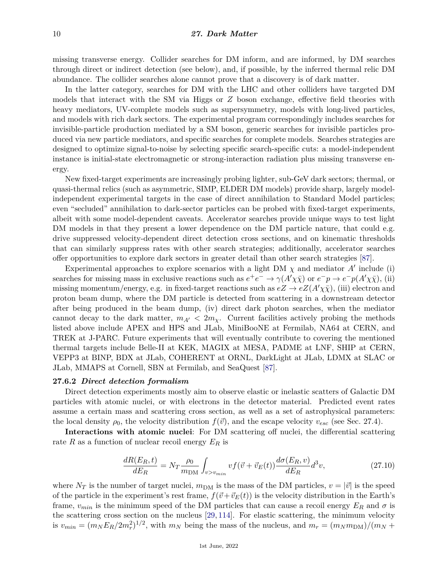missing transverse energy. Collider searches for DM inform, and are informed, by DM searches through direct or indirect detection (see below), and, if possible, by the inferred thermal relic DM abundance. The collider searches alone cannot prove that a discovery is of dark matter.

In the latter category, searches for DM with the LHC and other colliders have targeted DM models that interact with the SM via Higgs or *Z* boson exchange, effective field theories with heavy mediators, UV-complete models such as supersymmetry, models with long-lived particles, and models with rich dark sectors. The experimental program correspondingly includes searches for invisible-particle production mediated by a SM boson, generic searches for invisible particles produced via new particle mediators, and specific searches for complete models. Searches strategies are designed to optimize signal-to-noise by selecting specific search-specific cuts: a model-independent instance is initial-state electromagnetic or strong-interaction radiation plus missing transverse energy.

New fixed-target experiments are increasingly probing lighter, sub-GeV dark sectors; thermal, or quasi-thermal relics (such as asymmetric, SIMP, ELDER DM models) provide sharp, largely modelindependent experimental targets in the case of direct annihilation to Standard Model particles; even "secluded" annihilation to dark-sector particles can be probed with fixed-target experiments, albeit with some model-dependent caveats. Accelerator searches provide unique ways to test light DM models in that they present a lower dependence on the DM particle nature, that could e.g. drive suppressed velocity-dependent direct detection cross sections, and on kinematic thresholds that can similarly suppress rates with other search strategies; additionally, accelerator searches offer opportunities to explore dark sectors in greater detail than other search strategies [\[87\]](#page-25-17).

Experimental approaches to explore scenarios with a light DM  $\chi$  and mediator  $A'$  include (i) searches for missing mass in exclusive reactions such as  $e^+e^- \to \gamma(A'\chi\bar{\chi})$  or  $e^-p \to e^-p(A'\chi\bar{\chi})$ , (ii) missing momentum/energy, e.g. in fixed-target reactions such as  $eZ \to eZ(A'\chi\bar{\chi})$ , (iii) electron and proton beam dump, where the DM particle is detected from scattering in a downstream detector after being produced in the beam dump, (iv) direct dark photon searches, when the mediator cannot decay to the dark matter,  $m_{A'} < 2m_{\chi}$ . Current facilities actively probing the methods listed above include APEX and HPS and JLab, MiniBooNE at Fermilab, NA64 at CERN, and TREK at J-PARC. Future experiments that will eventually contribute to covering the mentioned thermal targets include Belle-II at KEK, MAGIX at MESA, PADME at LNF, SHIP at CERN, VEPP3 at BINP, BDX at JLab, COHERENT at ORNL, DarkLight at JLab, LDMX at SLAC or JLab, MMAPS at Cornell, SBN at Fermilab, and SeaQuest [\[87\]](#page-25-17).

#### **27.6.2** *Direct detection formalism*

Direct detection experiments mostly aim to observe elastic or inelastic scatters of Galactic DM particles with atomic nuclei, or with electrons in the detector material. Predicted event rates assume a certain mass and scattering cross section, as well as a set of astrophysical parameters: the local density  $\rho_0$ , the velocity distribution  $f(\vec{v})$ , and the escape velocity  $v_{esc}$  (see Sec. 27.4).

**Interactions with atomic nuclei**: For DM scattering off nuclei, the differential scattering rate *R* as a function of nuclear recoil energy *E<sup>R</sup>* is

$$
\frac{dR(E_R, t)}{dE_R} = N_T \frac{\rho_0}{m_{\text{DM}}} \int_{v>v_{min}} v f(\vec{v} + \vec{v}_E(t)) \frac{d\sigma(E_R, v)}{dE_R} d^3v,\tag{27.10}
$$

where  $N_T$  is the number of target nuclei,  $m_{DM}$  is the mass of the DM particles,  $v = |\vec{v}|$  is the speed of the particle in the experiment's rest frame,  $f(\vec{v}+\vec{v}_E(t))$  is the velocity distribution in the Earth's frame,  $v_{min}$  is the minimum speed of the DM particles that can cause a recoil energy  $E_R$  and  $\sigma$  is the scattering cross section on the nucleus [\[29,](#page-23-27) [114\]](#page-26-0). For elastic scattering, the minimum velocity is  $v_{min} = (m_N E_R/2m_r^2)^{1/2}$ , with  $m_N$  being the mass of the nucleus, and  $m_r = (m_N m_{\text{DM}})/(m_N +$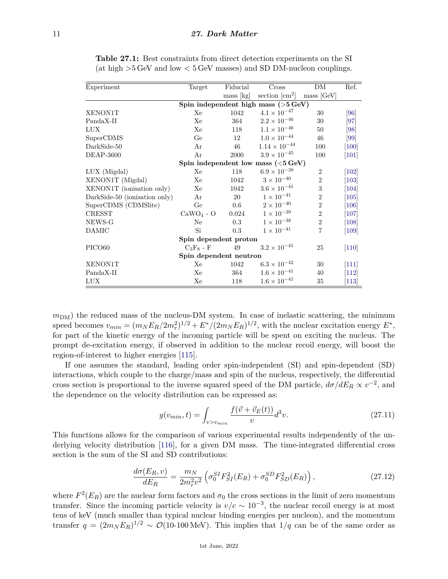| Experiment                             | Target       | Fiducial  | Cross                  | DМ             | Ref.                          |
|----------------------------------------|--------------|-----------|------------------------|----------------|-------------------------------|
|                                        |              | mass [kg] | section $\rm[cm^2]$    | $mass$ [GeV]   |                               |
| Spin independent high mass $($ >5 GeV) |              |           |                        |                |                               |
| XENON1T                                | Xe           | 1042      | $4.1 \times 10^{-47}$  | 30             | [96]                          |
| PandaX-II                              | Xe           | 364       | $2.2 \times 10^{-46}$  | 30             | $[97]$                        |
|                                        |              |           | $1.1\times10^{-46}$    |                |                               |
| <b>LUX</b>                             | Xe           | 118       |                        | 50             | [98]                          |
| SuperCDMS                              | Ge           | 12        | $1.0 \times 10^{-44}$  | 46             | [99]                          |
| DarkSide-50                            | Ar           | 46        | $1.14 \times 10^{-44}$ | 100            | [100]                         |
| <b>DEAP-3600</b>                       | Ar           | 2000      | $3.9 \times 10^{-45}$  | 100            | $\left[101\right]$            |
| Spin independent low mass $(5 GeV)$    |              |           |                        |                |                               |
| LUX (Migdal)                           | Xe           | 118       | $6.9\times10^{-38}$    | $\overline{2}$ | $\left[102\right]$            |
| XENON1T (Migdal)                       | Xe           | 1042      | $3\times10^{-40}$      | $\overline{2}$ | [103]                         |
| XENON1T (ionisation only)              | Xe           | 1042      | $3.6 \times 10^{-41}$  | $\sqrt{3}$     | $[104]$                       |
| DarkSide-50 (ionisation only)          | Ar           | 20        | $1 \times 10^{-41}$    | $\overline{2}$ | $\left\lceil 105\right\rceil$ |
| SuperCDMS (CDMSlite)                   | Ge           | $0.6\,$   | $2\times10^{-40}$      | $\overline{2}$ | [106]                         |
| <b>CRESST</b>                          | $CaWO4 - O$  | 0.024     | $1 \times 10^{-39}$    | $\overline{2}$ | $\left[107\right]$            |
| NEWS-G                                 | Ne           | 0.3       | $1 \times 10^{-38}$    | $\overline{2}$ | [108]                         |
| <b>DAMIC</b>                           | Si           | 0.3       | $1\times10^{-41}$      | $\overline{7}$ | $[109]$                       |
| Spin dependent proton                  |              |           |                        |                |                               |
| PICO60                                 | $C_3F_8 - F$ | 49        | $3.2 \times 10^{-41}$  | 25             | $[110]$                       |
| Spin dependent neutron                 |              |           |                        |                |                               |
| XENON1T                                | Xe           | 1042      | $6.3 \times 10^{-42}$  | 30             | $[111]$                       |
| PandaX-II                              | Xe           | 364       | $1.6 \times 10^{-41}$  | 40             | $[112]$                       |
| LUX                                    | Xe           | 118       | $1.6\times10^{-41}$    | 35             | $[113]$                       |

**Table 27.1:** Best constraints from direct detection experiments on the SI (at high *>*5 GeV and low *<* 5 GeV masses) and SD DM-nucleon couplings.

 $m_{\text{DM}}$ ) the reduced mass of the nucleus-DM system. In case of inelastic scattering, the minimum speed becomes  $v_{min} = (m_N E_R/2m_r^2)^{1/2} + E^*/(2m_N E_R)^{1/2}$ , with the nuclear excitation energy  $E^*$ , for part of the kinetic energy of the incoming particle will be spent on exciting the nucleus. The prompt de-excitation energy, if observed in addition to the nuclear recoil energy, will boost the region-of-interest to higher energies [\[115\]](#page-26-14).

If one assumes the standard, leading order spin-independent (SI) and spin-dependent (SD) interactions, which couple to the charge/mass and spin of the nucleus, respectively, the differential cross section is proportional to the inverse squared speed of the DM particle,  $d\sigma/dE_R \propto v^{-2}$ , and the dependence on the velocity distribution can be expressed as:

$$
g(v_{min}, t) = \int_{v>v_{min}} \frac{f(\vec{v} + \vec{v}_E(t))}{v} d^3v.
$$
 (27.11)

This functions allows for the comparison of various experimental results independently of the underlying velocity distribution [\[116\]](#page-26-15), for a given DM mass. The time-integrated differential cross section is the sum of the SI and SD contributions:

$$
\frac{d\sigma(E_R, v)}{dE_R} = \frac{m_N}{2m_r^2 v^2} \left( \sigma_0^{SI} F_{SI}^2(E_R) + \sigma_0^{SD} F_{SD}^2(E_R) \right),\tag{27.12}
$$

where  $F^2(E_R)$  are the nuclear form factors and  $\sigma_0$  the cross sections in the limit of zero momentum transfer. Since the incoming particle velocity is  $v/c \sim 10^{-3}$ , the nuclear recoil energy is at most tens of keV (much smaller than typical nuclear binding energies per nucleon), and the momentum transfer  $q = (2m_N E_R)^{1/2} \sim \mathcal{O}(10{\text -}100 \,\text{MeV})$ . This implies that  $1/q$  can be of the same order as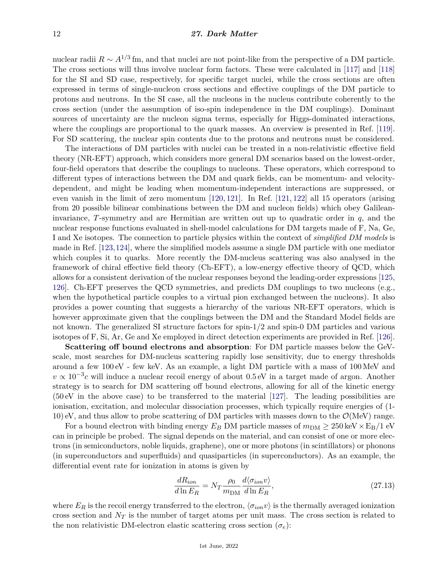nuclear radii  $R \sim A^{1/3}$  fm, and that nuclei are not point-like from the perspective of a DM particle. The cross sections will thus involve nuclear form factors. These were calculated in [\[117\]](#page-26-16) and [\[118\]](#page-26-17) for the SI and SD case, respectively, for specific target nuclei, while the cross sections are often expressed in terms of single-nucleon cross sections and effective couplings of the DM particle to protons and neutrons. In the SI case, all the nucleons in the nucleus contribute coherently to the cross section (under the assumption of iso-spin independence in the DM couplings). Dominant sources of uncertainty are the nucleon sigma terms, especially for Higgs-dominated interactions, where the couplings are proportional to the quark masses. An overview is presented in Ref. [\[119\]](#page-26-18). For SD scattering, the nuclear spin contents due to the protons and neutrons must be considered.

The interactions of DM particles with nuclei can be treated in a non-relativistic effective field theory (NR-EFT) approach, which considers more general DM scenarios based on the lowest-order, four-field operators that describe the couplings to nucleons. These operators, which correspond to different types of interactions between the DM and quark fields, can be momentum- and velocitydependent, and might be leading when momentum-independent interactions are suppressed, or even vanish in the limit of zero momentum [\[120,](#page-26-19) [121\]](#page-26-20). In Ref. [\[121,](#page-26-20) [122\]](#page-26-21) all 15 operators (arising from 20 possible bilinear combinations between the DM and nucleon fields) which obey Galileaninvariance, *T*-symmetry and are Hermitian are written out up to quadratic order in *q*, and the nuclear response functions evaluated in shell-model calculations for DM targets made of F, Na, Ge, I and Xe isotopes. The connection to particle physics within the context of *simplified DM models* is made in Ref. [\[123,](#page-26-22)[124\]](#page-26-23), where the simplified models assume a single DM particle with one mediator which couples it to quarks. More recently the DM-nucleus scattering was also analysed in the framework of chiral effective field theory (Ch-EFT), a low-energy effective theory of QCD, which allows for a consistent derivation of the nuclear responses beyond the leading-order expressions [\[125,](#page-26-24) [126\]](#page-26-25). Ch-EFT preserves the QCD symmetries, and predicts DM couplings to two nucleons (e.g., when the hypothetical particle couples to a virtual pion exchanged between the nucleons). It also provides a power counting that suggests a hierarchy of the various NR-EFT operators, which is however approximate given that the couplings between the DM and the Standard Model fields are not known. The generalized SI structure factors for spin-1/2 and spin-0 DM particles and various isotopes of F, Si, Ar, Ge and Xe employed in direct detection experiments are provided in Ref. [\[126\]](#page-26-25).

**Scattering off bound electrons and absorption**: For DM particle masses below the GeVscale, most searches for DM-nucleus scattering rapidly lose sensitivity, due to energy thresholds around a few 100 eV - few keV. As an example, a light DM particle with a mass of 100 MeV and  $v \propto 10^{-3}c$  will induce a nuclear recoil energy of about 0.5 eV in a target made of argon. Another strategy is to search for DM scattering off bound electrons, allowing for all of the kinetic energy (50 eV in the above case) to be transferred to the material [\[127\]](#page-26-26). The leading possibilities are ionisation, excitation, and molecular dissociation processes, which typically require energies of (1- 10) eV, and thus allow to probe scattering of DM particles with masses down to the  $\mathcal{O}(\text{MeV})$  range.

For a bound electron with binding energy  $E_B$  DM particle masses of  $m_{\text{DM}} \geq 250 \,\text{keV} \times E_B/1 \text{ eV}$ can in principle be probed. The signal depends on the material, and can consist of one or more electrons (in semiconductors, noble liquids, graphene), one or more photons (in scintillators) or phonons (in superconductors and superfluids) and quasiparticles (in superconductors). As an example, the differential event rate for ionization in atoms is given by

$$
\frac{dR_{ion}}{d\ln E_R} = N_T \frac{\rho_0}{m_{\text{DM}}} \frac{d\langle \sigma_{ion} v \rangle}{d\ln E_R},\tag{27.13}
$$

where  $E_R$  is the recoil energy transferred to the electron,  $\langle \sigma_{ion} v \rangle$  is the thermally averaged ionization cross section and  $N_T$  is the number of target atoms per unit mass. The cross section is related to the non relativistic DM-electron elastic scattering cross section  $(\sigma_e)$ :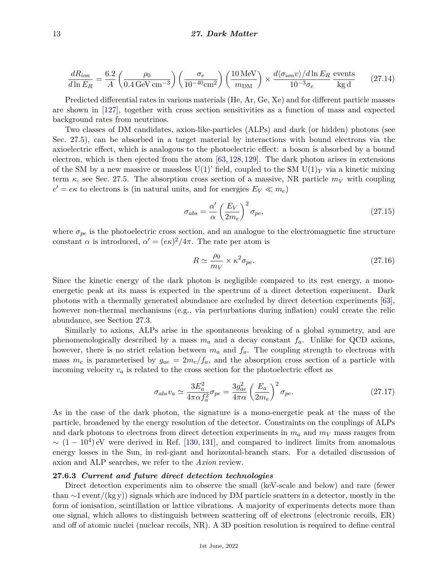$$
\frac{dR_{ion}}{d\ln E_R} = \frac{6.2}{A} \left(\frac{\rho_0}{0.4 \,\text{GeV cm}^{-3}}\right) \left(\frac{\sigma_e}{10^{-40}\text{cm}^2}\right) \left(\frac{10 \,\text{MeV}}{m_{\text{DM}}}\right) \times \frac{d\langle\sigma_{ion}v\rangle/d\ln E_R}{10^{-3}\sigma_e} \frac{\text{events}}{\text{kg d}} \tag{27.14}
$$

Predicted differential rates in various materials (He, Ar, Ge, Xe) and for different particle masses are shown in [\[127\]](#page-26-26), together with cross section sensitivities as a function of mass and expected background rates from neutrinos.

Two classes of DM candidates, axion-like-particles (ALPs) and dark (or hidden) photons (see Sec. 27.5), can be absorbed in a target material by interactions with bound electrons via the axioelectric effect, which is analogous to the photoelectric effect: a boson is absorbed by a bound electron, which is then ejected from the atom  $[63, 128, 129]$  $[63, 128, 129]$  $[63, 128, 129]$  $[63, 128, 129]$  $[63, 128, 129]$ . The dark photon arises in extensions of the SM by a new massive or massless  $U(1)$ <sup>'</sup> field, coupled to the SM  $U(1)_Y$  via a kinetic mixing term  $\kappa$ , see Sec. 27.5. The absorption cross section of a massive, NR particle  $m_V$  with coupling  $e' = e\kappa$  to electrons is (in natural units, and for energies  $E_V \ll m_e$ )

$$
\sigma_{abs} = \frac{\alpha'}{\alpha} \left(\frac{E_V}{2m_e}\right)^2 \sigma_{pe},\tag{27.15}
$$

where  $\sigma_{pe}$  is the photoelectric cross section, and an analogue to the electromagnetic fine structure constant  $\alpha$  is introduced,  $\alpha' = (e\kappa)^2/4\pi$ . The rate per atom is

$$
R \simeq \frac{\rho_0}{m_V} \times \kappa^2 \sigma_{pe}.\tag{27.16}
$$

Since the kinetic energy of the dark photon is negligible compared to its rest energy, a monoenergetic peak at its mass is expected in the spectrum of a direct detection experiment. Dark photons with a thermally generated abundance are excluded by direct detection experiments [\[63\]](#page-24-30), however non-thermal mechanisms (e.g., via perturbations during inflation) could create the relic abundance, see Section 27.3.

Similarly to axions, ALPs arise in the spontaneous breaking of a global symmetry, and are phenomenologically described by a mass  $m_a$  and a decay constant  $f_a$ . Unlike for QCD axions, however, there is no strict relation between  $m_a$  and  $f_a$ . The coupling strength to electrons with mass  $m_e$  is parameterised by  $g_{ae} = 2m_e/f_a$ , and the absorption cross section of a particle with incoming velocity  $v_a$  is related to the cross section for the photoelectric effect as

$$
\sigma_{abs} v_a \simeq \frac{3E_a^2}{4\pi\alpha f_a^2} \sigma_{pe} = \frac{3g_{ae}^2}{4\pi\alpha} \left(\frac{E_a}{2m_e}\right)^2 \sigma_{pe}.
$$
\n(27.17)

As in the case of the dark photon, the signature is a mono-energetic peak at the mass of the particle, broadened by the energy resolution of the detector. Constraints on the couplings of ALPs and dark photons to electrons from direct detection experiments in *m<sup>a</sup>* and *m<sup>V</sup>* mass ranges from  $\sim (1-10^4)$  eV were derived in Ref. [\[130,](#page-26-29) [131\]](#page-26-30), and compared to indirect limits from anomalous energy losses in the Sun, in red-giant and horizontal-branch stars. For a detailed discussion of axion and ALP searches, we refer to the *Axion* review.

#### **27.6.3** *Current and future direct detection technologies*

Direct detection experiments aim to observe the small (keV-scale and below) and rare (fewer than ∼1 event/(kg y)) signals which are induced by DM particle scatters in a detector, mostly in the form of ionisation, scintillation or lattice vibrations. A majority of experiments detects more than one signal, which allows to distinguish between scattering off of electrons (electronic recoils, ER) and off of atomic nuclei (nuclear recoils, NR). A 3D position resolution is required to define central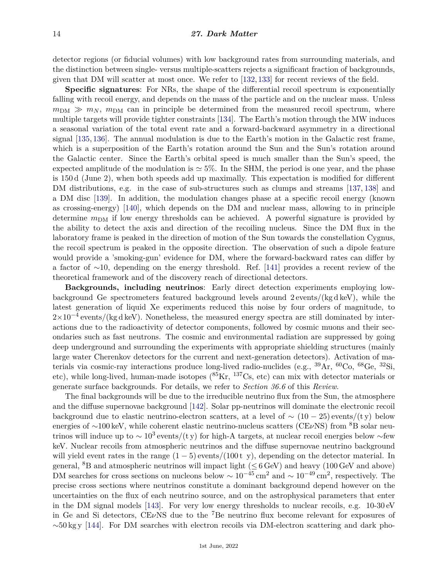detector regions (or fiducial volumes) with low background rates from surrounding materials, and the distinction between single- versus multiple-scatters rejects a significant fraction of backgrounds, given that DM will scatter at most once. We refer to [\[132,](#page-26-31) [133\]](#page-26-32) for recent reviews of the field.

**Specific signatures**: For NRs, the shape of the differential recoil spectrum is exponentially falling with recoil energy, and depends on the mass of the particle and on the nuclear mass. Unless  $m_{\text{DM}} \gg m_N$ ,  $m_{\text{DM}}$  can in principle be determined from the measured recoil spectrum, where multiple targets will provide tighter constraints [\[134\]](#page-26-33). The Earth's motion through the MW induces a seasonal variation of the total event rate and a forward-backward asymmetry in a directional signal [\[135,](#page-26-34) [136\]](#page-26-35). The annual modulation is due to the Earth's motion in the Galactic rest frame, which is a superposition of the Earth's rotation around the Sun and the Sun's rotation around the Galactic center. Since the Earth's orbital speed is much smaller than the Sun's speed, the expected amplitude of the modulation is  $\simeq$  5%. In the SHM, the period is one year, and the phase is 150 d (June 2), when both speeds add up maximally. This expectation is modified for different DM distributions, e.g. in the case of sub-structures such as clumps and streams [\[137,](#page-26-36) [138\]](#page-27-0) and a DM disc [\[139\]](#page-27-1). In addition, the modulation changes phase at a specific recoil energy (known as crossing-energy) [\[140\]](#page-27-2), which depends on the DM and nuclear mass, allowing to in principle determine *m*DM if low energy thresholds can be achieved. A powerful signature is provided by the ability to detect the axis and direction of the recoiling nucleus. Since the DM flux in the laboratory frame is peaked in the direction of motion of the Sun towards the constellation Cygnus, the recoil spectrum is peaked in the opposite direction. The observation of such a dipole feature would provide a 'smoking-gun' evidence for DM, where the forward-backward rates can differ by a factor of ∼10, depending on the energy threshold. Ref. [\[141\]](#page-27-3) provides a recent review of the theoretical framework and of the discovery reach of directional detectors.

**Backgrounds, including neutrinos**: Early direct detection experiments employing lowbackground Ge spectrometers featured background levels around 2 events/(kg d keV), while the latest generation of liquid Xe experiments reduced this noise by four orders of magnitude, to 2×10<sup>-4</sup> events/(kgdkeV). Nonetheless, the measured energy spectra are still dominated by interactions due to the radioactivity of detector components, followed by cosmic muons and their secondaries such as fast neutrons. The cosmic and environmental radiation are suppressed by going deep underground and surrounding the experiments with appropriate shielding structures (mainly large water Cherenkov detectors for the current and next-generation detectors). Activation of materials via cosmic-ray interactions produce long-lived radio-nuclides (e.g.,  $^{39}Ar$ ,  $^{60}Co$ ,  $^{68}Ge$ ,  $^{32}Si$ , etc), while long-lived, human-made isotopes ( ${}^{85}$ Kr,  ${}^{137}$ Cs, etc) can mix with detector materials or generate surface backgrounds. For details, we refer to *Section 36.6* of this *Review*.

The final backgrounds will be due to the irreducible neutrino flux from the Sun, the atmosphere and the diffuse supernovae background [\[142\]](#page-27-4). Solar pp-neutrinos will dominate the electronic recoil background due to elastic neutrino-electron scatters, at a level of  $\sim (10-25)$  events/(ty) below energies of ∼100 keV, while coherent elastic neutrino-nucleus scatters (CE*ν*NS) from <sup>8</sup>B solar neutrinos will induce up to  $\sim 10^3$  events/(ty) for high-A targets, at nuclear recoil energies below  $\sim$ few keV. Nuclear recoils from atmospheric neutrinos and the diffuse supernovae neutrino background will yield event rates in the range  $(1-5)$  events/(100 t y), depending on the detector material. In general, <sup>8</sup>B and atmospheric neutrinos will impact light ( $\leq$  6 GeV) and heavy (100 GeV and above) DM searches for cross sections on nucleons below  $\sim 10^{-45}$  cm<sup>2</sup> and  $\sim 10^{-49}$  cm<sup>2</sup>, respectively. The precise cross sections where neutrinos constitute a dominant background depend however on the uncertainties on the flux of each neutrino source, and on the astrophysical parameters that enter in the DM signal models [\[143\]](#page-27-5). For very low energy thresholds to nuclear recoils, e.g. 10-30 eV in Ge and Si detectors, CE $\nu$ NS due to the <sup>7</sup>Be neutrino flux become relevant for exposures of ∼50 kg y [\[144\]](#page-27-6). For DM searches with electron recoils via DM-electron scattering and dark pho-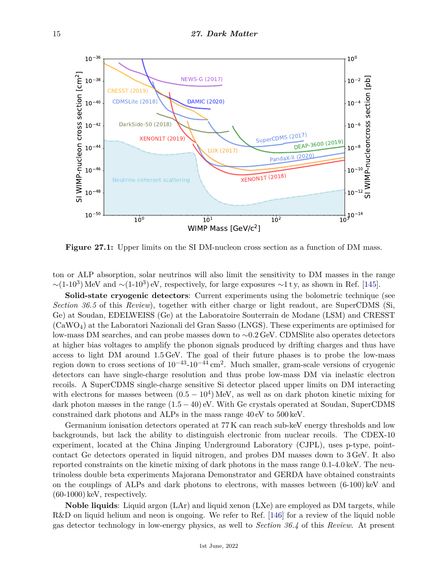

**Figure 27.1:** Upper limits on the SI DM-nucleon cross section as a function of DM mass.

ton or ALP absorption, solar neutrinos will also limit the sensitivity to DM masses in the range  $\sim$ (1-10<sup>3</sup>) MeV and  $\sim$ (1-10<sup>3</sup>) eV, respectively, for large exposures  $\sim$ 1 t y, as shown in Ref. [\[145\]](#page-27-7).

**Solid-state cryogenic detectors**: Current experiments using the bolometric technique (see *Section 36.5* of this *Review*), together with either charge or light readout, are SuperCDMS (Si, Ge) at Soudan, EDELWEISS (Ge) at the Laboratoire Souterrain de Modane (LSM) and CRESST (CaWO4) at the Laboratori Nazionali del Gran Sasso (LNGS). These experiments are optimised for low-mass DM searches, and can probe masses down to ∼0.2 GeV. CDMSlite also operates detectors at higher bias voltages to amplify the phonon signals produced by drifting charges and thus have access to light DM around 1.5 GeV. The goal of their future phases is to probe the low-mass region down to cross sections of  $10^{-43}$ - $10^{-44}$  cm<sup>2</sup>. Much smaller, gram-scale versions of cryogenic detectors can have single-charge resolution and thus probe low-mass DM via inelastic electron recoils. A SuperCDMS single-charge sensitive Si detector placed upper limits on DM interacting with electrons for masses between  $(0.5 - 10^4)$  MeV, as well as on dark photon kinetic mixing for dark photon masses in the range  $(1.5 - 40)$  eV. With Ge crystals operated at Soudan, SuperCDMS constrained dark photons and ALPs in the mass range 40 eV to 500 keV.

Germanium ionisation detectors operated at 77 K can reach sub-keV energy thresholds and low backgrounds, but lack the ability to distinguish electronic from nuclear recoils. The CDEX-10 experiment, located at the China Jinping Underground Laboratory (CJPL), uses p-type, pointcontact Ge detectors operated in liquid nitrogen, and probes DM masses down to 3 GeV. It also reported constraints on the kinetic mixing of dark photons in the mass range 0.1-4.0 keV. The neutrinoless double beta experiments Majorana Demonstrator and GERDA have obtained constraints on the couplings of ALPs and dark photons to electrons, with masses between (6-100) keV and  $(60-1000)$  keV, respectively.

**Noble liquids**: Liquid argon (LAr) and liquid xenon (LXe) are employed as DM targets, while R&D on liquid helium and neon is ongoing. We refer to Ref. [\[146\]](#page-27-8) for a review of the liquid noble gas detector technology in low-energy physics, as well to *Section 36.4* of this *Review*. At present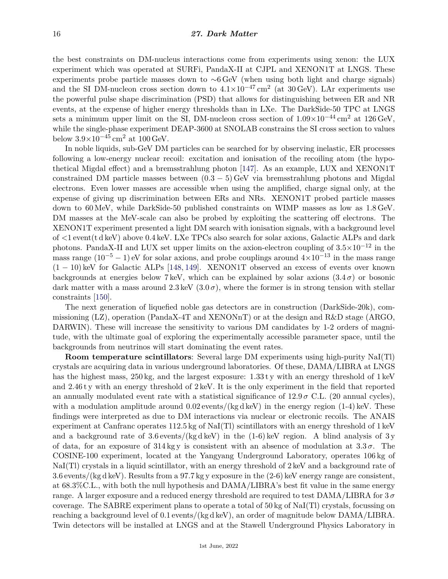the best constraints on DM-nucleus interactions come from experiments using xenon: the LUX experiment which was operated at SURFi, PandaX-II at CJPL and XENON1T at LNGS. These experiments probe particle masses down to ∼6 GeV (when using both light and charge signals) and the SI DM-nucleon cross section down to  $4.1 \times 10^{-47}$  cm<sup>2</sup> (at 30 GeV). LAr experiments use the powerful pulse shape discrimination (PSD) that allows for distinguishing between ER and NR events, at the expense of higher energy thresholds than in LXe. The DarkSide-50 TPC at LNGS sets a minimum upper limit on the SI, DM-nucleon cross section of  $1.09 \times 10^{-44}$  cm<sup>2</sup> at 126 GeV, while the single-phase experiment DEAP-3600 at SNOLAB constrains the SI cross section to values below  $3.9\times10^{-45}$  cm<sup>2</sup> at 100 GeV.

In noble liquids, sub-GeV DM particles can be searched for by observing inelastic, ER processes following a low-energy nuclear recoil: excitation and ionisation of the recoiling atom (the hypothetical Migdal effect) and a bremsstrahlung photon [\[147\]](#page-27-9). As an example, LUX and XENON1T constrained DM particle masses between (0*.*3 − 5) GeV via bremsstrahlung photons and Migdal electrons. Even lower masses are accessible when using the amplified, charge signal only, at the expense of giving up discrimination between ERs and NRs. XENON1T probed particle masses down to 60 MeV, while DarkSide-50 published constraints on WIMP masses as low as 1.8 GeV. DM masses at the MeV-scale can also be probed by exploiting the scattering off electrons. The XENON1T experiment presented a light DM search with ionisation signals, with a background level of *<*1 event(t d keV) above 0.4 keV. LXe TPCs also search for solar axions, Galactic ALPs and dark photons. PandaX-II and LUX set upper limits on the axion-electron coupling of  $3.5 \times 10^{-12}$  in the mass range  $(10^{-5} - 1)$  eV for solar axions, and probe couplings around  $4 \times 10^{-13}$  in the mass range (1 − 10) keV for Galactic ALPs [\[148,](#page-27-10) [149\]](#page-27-11). XENON1T observed an excess of events over known backgrounds at energies below 7 keV, which can be explained by solar axions  $(3.4 \sigma)$  or bosonic dark matter with a mass around  $2.3 \text{ keV } (3.0 \sigma)$ , where the former is in strong tension with stellar constraints [\[150\]](#page-27-12).

The next generation of liquefied noble gas detectors are in construction (DarkSide-20k), commissioning (LZ), operation (PandaX-4T and XENONnT) or at the design and R&D stage (ARGO, DARWIN). These will increase the sensitivity to various DM candidates by 1-2 orders of magnitude, with the ultimate goal of exploring the experimentally accessible parameter space, until the backgrounds from neutrinos will start dominating the event rates.

**Room temperature scintillators**: Several large DM experiments using high-purity NaI(Tl) crystals are acquiring data in various underground laboratories. Of these, DAMA/LIBRA at LNGS has the highest mass, 250 kg, and the largest exposure: 1.33 ty with an energy threshold of 1 keV and  $2.46 \text{ t y}$  with an energy threshold of  $2 \text{ keV}$ . It is the only experiment in the field that reported an annually modulated event rate with a statistical significance of  $12.9 \sigma$  C.L. (20 annual cycles), with a modulation amplitude around  $0.02$  events/(kg d keV) in the energy region (1-4) keV. These findings were interpreted as due to DM interactions via nuclear or electronic recoils. The ANAIS experiment at Canfranc operates 112.5 kg of NaI(Tl) scintillators with an energy threshold of 1 keV and a background rate of  $3.6 \text{ events/(kg d keV)}$  in the  $(1-6)$  keV region. A blind analysis of 3 y of data, for an exposure of  $314 \text{ kg y}$  is consistent with an absence of modulation at  $3.3 \sigma$ . The COSINE-100 experiment, located at the Yangyang Underground Laboratory, operates 106 kg of NaI(Tl) crystals in a liquid scintillator, with an energy threshold of 2 keV and a background rate of 3.6 events/(kg d keV). Results from a 97.7 kg y exposure in the (2-6) keV energy range are consistent, at 68.3%C.L., with both the null hypothesis and DAMA/LIBRA's best fit value in the same energy range. A larger exposure and a reduced energy threshold are required to test DAMA/LIBRA for 3 *σ* coverage. The SABRE experiment plans to operate a total of 50 kg of NaI(Tl) crystals, focussing on reaching a background level of 0.1 events/(kg d keV), an order of magnitude below DAMA/LIBRA. Twin detectors will be installed at LNGS and at the Stawell Underground Physics Laboratory in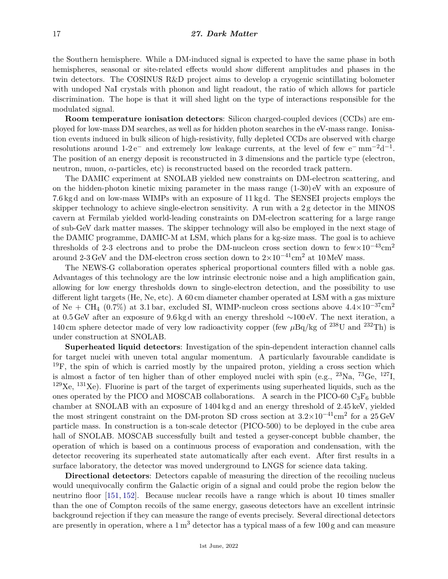the Southern hemisphere. While a DM-induced signal is expected to have the same phase in both hemispheres, seasonal or site-related effects would show different amplitudes and phases in the twin detectors. The COSINUS R&D project aims to develop a cryogenic scintillating bolometer with undoped NaI crystals with phonon and light readout, the ratio of which allows for particle discrimination. The hope is that it will shed light on the type of interactions responsible for the modulated signal.

**Room temperature ionisation detectors**: Silicon charged-coupled devices (CCDs) are employed for low-mass DM searches, as well as for hidden photon searches in the eV-mass range. Ionisation events induced in bulk silicon of high-resistivity, fully depleted CCDs are observed with charge resolutions around  $1-2e^-$  and extremely low leakage currents, at the level of few  $e^-$  mm<sup>-2</sup>d<sup>-1</sup>. The position of an energy deposit is reconstructed in 3 dimensions and the particle type (electron, neutron, muon, *α*-particles, etc) is reconstructed based on the recorded track pattern.

The DAMIC experiment at SNOLAB yielded new constraints on DM-electron scattering, and on the hidden-photon kinetic mixing parameter in the mass range (1-30) eV with an exposure of 7.6 kg d and on low-mass WIMPs with an exposure of 11 kg d. The SENSEI projects employs the skipper technology to achieve single-electron sensitivity. A run with a 2 g detector in the MINOS cavern at Fermilab yielded world-leading constraints on DM-electron scattering for a large range of sub-GeV dark matter masses. The skipper technology will also be employed in the next stage of the DAMIC programme, DAMIC-M at LSM, which plans for a kg-size mass. The goal is to achieve thresholds of 2-3 electrons and to probe the DM-nucleon cross section down to few $\times 10^{-43}$ cm<sup>2</sup> around 2-3 GeV and the DM-electron cross section down to  $2\times10^{-41} \text{cm}^2$  at 10 MeV mass.

The NEWS-G collaboration operates spherical proportional counters filled with a noble gas. Advantages of this technology are the low intrinsic electronic noise and a high amplification gain, allowing for low energy thresholds down to single-electron detection, and the possibility to use different light targets (He, Ne, etc). A 60 cm diameter chamber operated at LSM with a gas mixture of Ne + CH<sub>4</sub> (0.7%) at 3.1 bar, excluded SI, WIMP-nucleon cross sections above  $4.4 \times 10^{-37}$ cm<sup>2</sup> at 0.5 GeV after an exposure of 9.6 kg d with an energy threshold ∼100 eV. The next iteration, a 140 cm sphere detector made of very low radioactivity copper (few  $\mu$ Bq/kg of <sup>238</sup>U and <sup>232</sup>Th) is under construction at SNOLAB.

**Superheated liquid detectors**: Investigation of the spin-dependent interaction channel calls for target nuclei with uneven total angular momentum. A particularly favourable candidate is  $19F$ , the spin of which is carried mostly by the unpaired proton, yielding a cross section which is almost a factor of ten higher than of other employed nuclei with spin  $(e.g., 23Na, 73Ge, 127I,$  $129\text{Xe}$ ,  $131\text{Xe}$ ). Fluorine is part of the target of experiments using superheated liquids, such as the ones operated by the PICO and MOSCAB collaborations. A search in the PICO-60  $C_3F_6$  bubble chamber at SNOLAB with an exposure of 1404 kg d and an energy threshold of 2.45 keV, yielded the most stringent constraint on the DM-proton SD cross section at  $3.2 \times 10^{-41}$ cm<sup>2</sup> for a 25 GeV particle mass. In construction is a ton-scale detector (PICO-500) to be deployed in the cube area hall of SNOLAB. MOSCAB successfully built and tested a geyser-concept bubble chamber, the operation of which is based on a continuous process of evaporation and condensation, with the detector recovering its superheated state automatically after each event. After first results in a surface laboratory, the detector was moved underground to LNGS for science data taking.

**Directional detectors**: Detectors capable of measuring the direction of the recoiling nucleus would unequivocally confirm the Galactic origin of a signal and could probe the region below the neutrino floor [\[151,](#page-27-13) [152\]](#page-27-14). Because nuclear recoils have a range which is about 10 times smaller than the one of Compton recoils of the same energy, gaseous detectors have an excellent intrinsic background rejection if they can measure the range of events precisely. Several directional detectors are presently in operation, where a  $1 \text{ m}^3$  detector has a typical mass of a few 100 g and can measure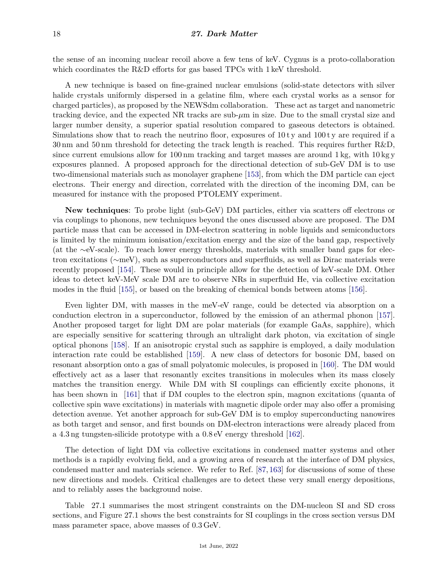the sense of an incoming nuclear recoil above a few tens of keV. Cygnus is a proto-collaboration which coordinates the R&D efforts for gas based TPCs with 1 keV threshold.

A new technique is based on fine-grained nuclear emulsions (solid-state detectors with silver halide crystals uniformly dispersed in a gelatine film, where each crystal works as a sensor for charged particles), as proposed by the NEWSdm collaboration. These act as target and nanometric tracking device, and the expected NR tracks are sub-*µ*m in size. Due to the small crystal size and larger number density, a superior spatial resolution compared to gaseous detectors is obtained. Simulations show that to reach the neutrino floor, exposures of  $10 \text{ t y}$  and  $100 \text{ t y}$  are required if a 30 nm and 50 nm threshold for detecting the track length is reached. This requires further R&D, since current emulsions allow for 100 nm tracking and target masses are around 1 kg, with 10 kg y exposures planned. A proposed approach for the directional detection of sub-GeV DM is to use two-dimensional materials such as monolayer graphene [\[153\]](#page-27-15), from which the DM particle can eject electrons. Their energy and direction, correlated with the direction of the incoming DM, can be measured for instance with the proposed PTOLEMY experiment.

**New techniques**: To probe light (sub-GeV) DM particles, either via scatters off electrons or via couplings to phonons, new techniques beyond the ones discussed above are proposed. The DM particle mass that can be accessed in DM-electron scattering in noble liquids and semiconductors is limited by the minimum ionisation/excitation energy and the size of the band gap, respectively (at the ∼eV-scale). To reach lower energy thresholds, materials with smaller band gaps for electron excitations (∼meV), such as superconductors and superfluids, as well as Dirac materials were recently proposed [\[154\]](#page-27-16). These would in principle allow for the detection of keV-scale DM. Other ideas to detect keV-MeV scale DM are to observe NRs in superfluid He, via collective excitation modes in the fluid [\[155\]](#page-27-17), or based on the breaking of chemical bonds between atoms [\[156\]](#page-27-18).

Even lighter DM, with masses in the meV-eV range, could be detected via absorption on a conduction electron in a superconductor, followed by the emission of an athermal phonon [\[157\]](#page-27-19). Another proposed target for light DM are polar materials (for example GaAs, sapphire), which are especially sensitive for scattering through an ultralight dark photon, via excitation of single optical phonons [\[158\]](#page-27-20). If an anisotropic crystal such as sapphire is employed, a daily modulation interaction rate could be established [\[159\]](#page-27-21). A new class of detectors for bosonic DM, based on resonant absorption onto a gas of small polyatomic molecules, is proposed in [\[160\]](#page-27-22). The DM would effectively act as a laser that resonantly excites transitions in molecules when its mass closely matches the transition energy. While DM with SI couplings can efficiently excite phonons, it has been shown in [\[161\]](#page-27-23) that if DM couples to the electron spin, magnon excitations (quanta of collective spin wave excitations) in materials with magnetic dipole order may also offer a promising detection avenue. Yet another approach for sub-GeV DM is to employ superconducting nanowires as both target and sensor, and first bounds on DM-electron interactions were already placed from a 4.3 ng tungsten-silicide prototype with a 0.8 eV energy threshold [\[162\]](#page-27-24).

The detection of light DM via collective excitations in condensed matter systems and other methods is a rapidly evolving field, and a growing area of research at the interface of DM physics, condensed matter and materials science. We refer to Ref. [\[87,](#page-25-17) [163\]](#page-27-25) for discussions of some of these new directions and models. Critical challenges are to detect these very small energy depositions, and to reliably asses the background noise.

Table 27.1 summarises the most stringent constraints on the DM-nucleon SI and SD cross sections, and Figure 27.1 shows the best constraints for SI couplings in the cross section versus DM mass parameter space, above masses of 0.3 GeV.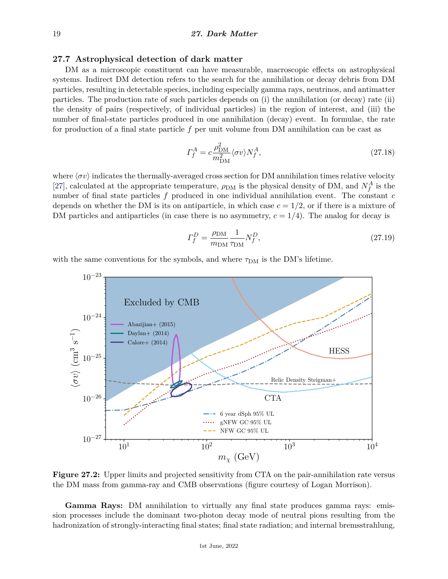### **27.7 Astrophysical detection of dark matter**

DM as a microscopic constituent can have measurable, macroscopic effects on astrophysical systems. Indirect DM detection refers to the search for the annihilation or decay debris from DM particles, resulting in detectable species, including especially gamma rays, neutrinos, and antimatter particles. The production rate of such particles depends on (i) the annihilation (or decay) rate (ii) the density of pairs (respectively, of individual particles) in the region of interest, and (iii) the number of final-state particles produced in one annihilation (decay) event. In formulae, the rate for production of a final state particle *f* per unit volume from DM annihilation can be cast as

$$
\Gamma_f^A = c \frac{\rho_{\rm DM}^2}{m_{\rm DM}^2} \langle \sigma v \rangle N_f^A,\tag{27.18}
$$

where  $\langle \sigma v \rangle$  indicates the thermally-averaged cross section for DM annihilation times relative velocity [\[27\]](#page-23-25), calculated at the appropriate temperature,  $\rho_{DM}$  is the physical density of DM, and  $N_f^A$  is the number of final state particles *f* produced in one individual annihilation event. The constant *c* depends on whether the DM is its on antiparticle, in which case  $c = 1/2$ , or if there is a mixture of DM particles and antiparticles (in case there is no asymmetry,  $c = 1/4$ ). The analog for decay is

$$
\Gamma_f^D = \frac{\rho_{\rm DM}}{m_{\rm DM}} \frac{1}{\tau_{\rm DM}} N_f^D,\tag{27.19}
$$

with the same conventions for the symbols, and where  $\tau_{DM}$  is the DM's lifetime.



**Figure 27.2:** Upper limits and projected sensitivity from CTA on the pair-annihilation rate versus the DM mass from gamma-ray and CMB observations (figure courtesy of Logan Morrison).

**Gamma Rays:** DM annihilation to virtually any final state produces gamma rays: emission processes include the dominant two-photon decay mode of neutral pions resulting from the hadronization of strongly-interacting final states; final state radiation; and internal bremsstrahlung,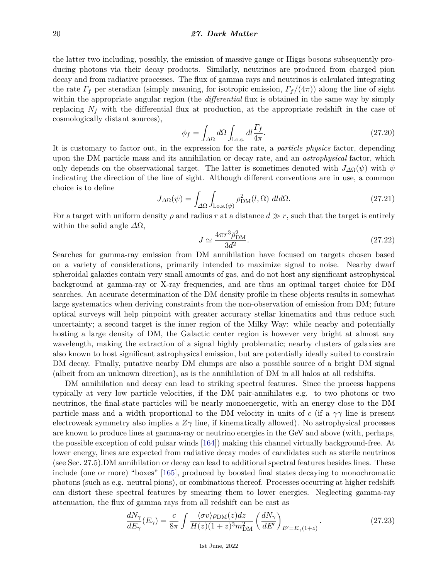### 20 *27. Dark Matter*

the latter two including, possibly, the emission of massive gauge or Higgs bosons subsequently producing photons via their decay products. Similarly, neutrinos are produced from charged pion decay and from radiative processes. The flux of gamma rays and neutrinos is calculated integrating the rate  $\Gamma_f$  per steradian (simply meaning, for isotropic emission,  $\Gamma_f/(\frac{4\pi}{\pi})$ ) along the line of sight within the appropriate angular region (the *differential* flux is obtained in the same way by simply replacing  $N_f$  with the differential flux at production, at the appropriate redshift in the case of cosmologically distant sources),

$$
\phi_f = \int_{\Delta\Omega} d\Omega \int_{\text{l.o.s.}} dl \frac{\varGamma_f}{4\pi}.
$$
\n(27.20)

It is customary to factor out, in the expression for the rate, a *particle physics* factor, depending upon the DM particle mass and its annihilation or decay rate, and an *astrophysical* factor, which only depends on the observational target. The latter is sometimes denoted with  $J_{\Delta\Omega}(\psi)$  with  $\psi$ indicating the direction of the line of sight. Although different conventions are in use, a common choice is to define

$$
J_{\Delta\Omega}(\psi) = \int_{\Delta\Omega} \int_{\text{l.o.s.}(\psi)} \rho_{\text{DM}}^2(l, \Omega) \, dl d\Omega. \tag{27.21}
$$

For a target with uniform density  $\rho$  and radius r at a distance  $d \gg r$ , such that the target is entirely within the solid angle *∆*Ω,

$$
J \simeq \frac{4\pi r^3 \bar{\rho}_{\rm DM}^2}{3d^2}.
$$
\n(27.22)

Searches for gamma-ray emission from DM annihilation have focused on targets chosen based on a variety of considerations, primarily intended to maximize signal to noise. Nearby dwarf spheroidal galaxies contain very small amounts of gas, and do not host any significant astrophysical background at gamma-ray or X-ray frequencies, and are thus an optimal target choice for DM searches. An accurate determination of the DM density profile in these objects results in somewhat large systematics when deriving constraints from the non-observation of emission from DM; future optical surveys will help pinpoint with greater accuracy stellar kinematics and thus reduce such uncertainty; a second target is the inner region of the Milky Way: while nearby and potentially hosting a large density of DM, the Galactic center region is however very bright at almost any wavelength, making the extraction of a signal highly problematic; nearby clusters of galaxies are also known to host significant astrophysical emission, but are potentially ideally suited to constrain DM decay. Finally, putative nearby DM clumps are also a possible source of a bright DM signal (albeit from an unknown direction), as is the annihilation of DM in all halos at all redshifts.

DM annihilation and decay can lead to striking spectral features. Since the process happens typically at very low particle velocities, if the DM pair-annihilates e.g. to two photons or two neutrinos, the final-state particles will be nearly monoenergetic, with an energy close to the DM particle mass and a width proportional to the DM velocity in units of *c* (if a  $\gamma\gamma$  line is present electroweak symmetry also implies a  $Z_{\gamma}$  line, if kinematically allowed). No astrophysical processes are known to produce lines at gamma-ray or neutrino energies in the GeV and above (with, perhaps, the possible exception of cold pulsar winds [\[164\]](#page-27-26)) making this channel virtually background-free. At lower energy, lines are expected from radiative decay modes of candidates such as sterile neutrinos (see Sec. 27.5).DM annihilation or decay can lead to additional spectral features besides lines. These include (one or more) "boxes" [\[165\]](#page-27-27), produced by boosted final states decaying to monochromatic photons (such as e.g. neutral pions), or combinations thereof. Processes occurring at higher redshift can distort these spectral features by smearing them to lower energies. Neglecting gamma-ray attenuation, the flux of gamma rays from all redshift can be cast as

$$
\frac{dN_{\gamma}}{dE_{\gamma}}(E_{\gamma}) = \frac{c}{8\pi} \int \frac{\langle \sigma v \rangle \rho_{\rm DM}(z) dz}{H(z)(1+z)^3 m_{\rm DM}^2} \left(\frac{dN_{\gamma}}{dE'}\right)_{E'=E_{\gamma}(1+z)}.\tag{27.23}
$$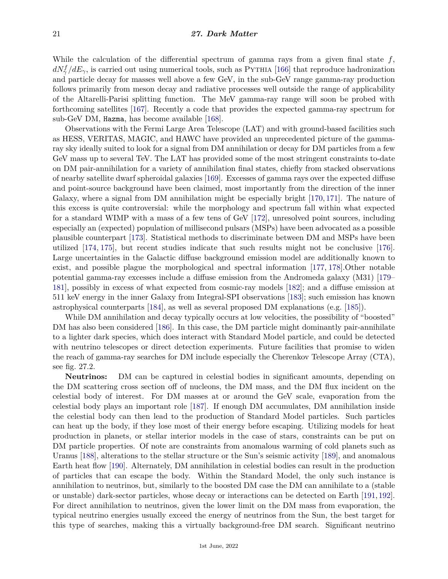While the calculation of the differential spectrum of gamma rays from a given final state *f*,  $dN^f_\gamma/dE_\gamma$ , is carried out using numerical tools, such as PYTHIA [\[166\]](#page-27-28) that reproduce hadronization and particle decay for masses well above a few GeV, in the sub-GeV range gamma-ray production follows primarily from meson decay and radiative processes well outside the range of applicability of the Altarelli-Parisi splitting function. The MeV gamma-ray range will soon be probed with forthcoming satellites [\[167\]](#page-27-29). Recently a code that provides the expected gamma-ray spectrum for sub-GeV DM, Hazma, has become available [\[168\]](#page-27-30).

Observations with the Fermi Large Area Telescope (LAT) and with ground-based facilities such as HESS, VERITAS, MAGIC, and HAWC have provided an unprecedented picture of the gammaray sky ideally suited to look for a signal from DM annihilation or decay for DM particles from a few GeV mass up to several TeV. The LAT has provided some of the most stringent constraints to-date on DM pair-annihilation for a variety of annihilation final states, chiefly from stacked observations of nearby satellite dwarf spheroidal galaxies [\[169\]](#page-27-31). Excesses of gamma rays over the expected diffuse and point-source background have been claimed, most importantly from the direction of the inner Galaxy, where a signal from DM annihilation might be especially bright [\[170,](#page-27-32) [171\]](#page-27-33). The nature of this excess is quite controversial: while the morphology and spectrum fall within what expected for a standard WIMP with a mass of a few tens of GeV [\[172\]](#page-28-0), unresolved point sources, including especially an (expected) population of millisecond pulsars (MSPs) have been advocated as a possible plausible counterpart [\[173\]](#page-28-1). Statistical methods to discriminate between DM and MSPs have been utilized [\[174,](#page-28-2) [175\]](#page-28-3), but recent studies indicate that such results might not be conclusive [\[176\]](#page-28-4). Large uncertainties in the Galactic diffuse background emission model are additionally known to exist, and possible plague the morphological and spectral information [\[177,](#page-28-5) [178\]](#page-28-6).Other notable potential gamma-ray excesses include a diffuse emission from the Andromeda galaxy (M31) [\[179–](#page-28-7) [181\]](#page-28-8), possibly in excess of what expected from cosmic-ray models [\[182\]](#page-28-9); and a diffuse emission at 511 keV energy in the inner Galaxy from Integral-SPI observations [\[183\]](#page-28-10); such emission has known astrophysical counterparts [\[184\]](#page-28-11), as well as several proposed DM explanations (e.g. [\[185\]](#page-28-12)).

While DM annihilation and decay typically occurs at low velocities, the possibility of "boosted" DM has also been considered [\[186\]](#page-28-13). In this case, the DM particle might dominantly pair-annihilate to a lighter dark species, which does interact with Standard Model particle, and could be detected with neutrino telescopes or direct detection experiments. Future facilities that promise to widen the reach of gamma-ray searches for DM include especially the Cherenkov Telescope Array (CTA), see fig. 27.2.

**Neutrinos:** DM can be captured in celestial bodies in significant amounts, depending on the DM scattering cross section off of nucleons, the DM mass, and the DM flux incident on the celestial body of interest. For DM masses at or around the GeV scale, evaporation from the celestial body plays an important role [\[187\]](#page-28-14). If enough DM accumulates, DM annihilation inside the celestial body can then lead to the production of Standard Model particles. Such particles can heat up the body, if they lose most of their energy before escaping. Utilizing models for heat production in planets, or stellar interior models in the case of stars, constraints can be put on DM particle properties. Of note are constraints from anomalous warming of cold planets such as Uranus [\[188\]](#page-28-15), alterations to the stellar structure or the Sun's seismic activity [\[189\]](#page-28-16), and anomalous Earth heat flow [\[190\]](#page-28-17). Alternately, DM annihilation in celestial bodies can result in the production of particles that can escape the body. Within the Standard Model, the only such instance is annihilation to neutrinos, but, similarly to the boosted DM case the DM can annihilate to a (stable or unstable) dark-sector particles, whose decay or interactions can be detected on Earth [\[191,](#page-28-18)[192\]](#page-28-19). For direct annihilation to neutrinos, given the lower limit on the DM mass from evaporation, the typical neutrino energies usually exceed the energy of neutrinos from the Sun, the best target for this type of searches, making this a virtually background-free DM search. Significant neutrino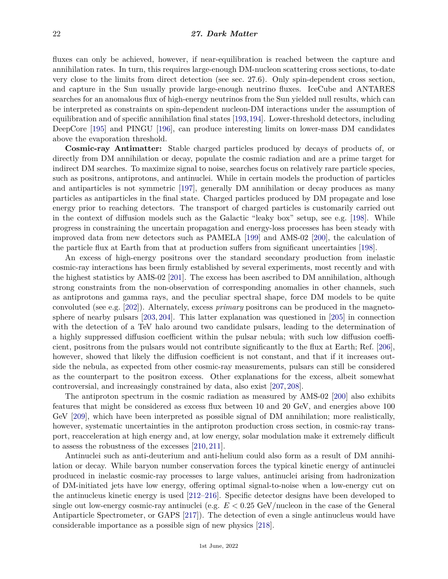fluxes can only be achieved, however, if near-equilibration is reached between the capture and annihilation rates. In turn, this requires large-enough DM-nucleon scattering cross sections, to-date very close to the limits from direct detection (see sec. 27.6). Only spin-dependent cross section, and capture in the Sun usually provide large-enough neutrino fluxes. IceCube and ANTARES searches for an anomalous flux of high-energy neutrinos from the Sun yielded null results, which can be interpreted as constraints on spin-dependent nucleon-DM interactions under the assumption of equilibration and of specific annihilation final states [\[193,](#page-28-20)[194\]](#page-28-21). Lower-threshold detectors, including DeepCore [\[195\]](#page-28-22) and PINGU [\[196\]](#page-28-23), can produce interesting limits on lower-mass DM candidates above the evaporation threshold.

**Cosmic-ray Antimatter:** Stable charged particles produced by decays of products of, or directly from DM annihilation or decay, populate the cosmic radiation and are a prime target for indirect DM searches. To maximize signal to noise, searches focus on relatively rare particle species, such as positrons, antiprotons, and antinuclei. While in certain models the production of particles and antiparticles is not symmetric [\[197\]](#page-28-24), generally DM annihilation or decay produces as many particles as antiparticles in the final state. Charged particles produced by DM propagate and lose energy prior to reaching detectors. The transport of charged particles is customarily carried out in the context of diffusion models such as the Galactic "leaky box" setup, see e.g. [\[198\]](#page-28-25). While progress in constraining the uncertain propagation and energy-loss processes has been steady with improved data from new detectors such as PAMELA [\[199\]](#page-28-26) and AMS-02 [\[200\]](#page-28-27), the calculation of the particle flux at Earth from that at production suffers from significant uncertainties [\[198\]](#page-28-25).

An excess of high-energy positrons over the standard secondary production from inelastic cosmic-ray interactions has been firmly established by several experiments, most recently and with the highest statistics by AMS-02 [\[201\]](#page-28-28). The excess has been ascribed to DM annihilation, although strong constraints from the non-observation of corresponding anomalies in other channels, such as antiprotons and gamma rays, and the peculiar spectral shape, force DM models to be quite convoluted (see e.g. [\[202\]](#page-28-29)). Alternately, excess *primary* positrons can be produced in the magnetosphere of nearby pulsars [\[203,](#page-28-30) [204\]](#page-28-31). This latter explanation was questioned in [\[205\]](#page-29-0) in connection with the detection of a TeV halo around two candidate pulsars, leading to the determination of a highly suppressed diffusion coefficient within the pulsar nebula; with such low diffusion coefficient, positrons from the pulsars would not contribute significantly to the flux at Earth; Ref. [\[206\]](#page-29-1), however, showed that likely the diffusion coefficient is not constant, and that if it increases outside the nebula, as expected from other cosmic-ray measurements, pulsars can still be considered as the counterpart to the positron excess. Other explanations for the excess, albeit somewhat controversial, and increasingly constrained by data, also exist [\[207,](#page-29-2) [208\]](#page-29-3).

The antiproton spectrum in the cosmic radiation as measured by AMS-02 [\[200\]](#page-28-27) also exhibits features that might be considered as excess flux between 10 and 20 GeV, and energies above 100 GeV [\[209\]](#page-29-4), which have been interpreted as possible signal of DM annihilation; more realistically, however, systematic uncertainties in the antiproton production cross section, in cosmic-ray transport, reacceleration at high energy and, at low energy, solar modulation make it extremely difficult to assess the robustness of the excesses [\[210,](#page-29-5) [211\]](#page-29-6).

Antinuclei such as anti-deuterium and anti-helium could also form as a result of DM annihilation or decay. While baryon number conservation forces the typical kinetic energy of antinuclei produced in inelastic cosmic-ray processes to large values, antinuclei arising from hadronization of DM-initiated jets have low energy, offering optimal signal-to-noise when a low-energy cut on the antinucleus kinetic energy is used [\[212–](#page-29-7)[216\]](#page-29-8). Specific detector designs have been developed to single out low-energy cosmic-ray antinuclei (e.g. *E <* 0*.*25 GeV/nucleon in the case of the General Antiparticle Spectrometer, or GAPS [\[217\]](#page-29-9)). The detection of even a single antinucleus would have considerable importance as a possible sign of new physics [\[218\]](#page-29-10).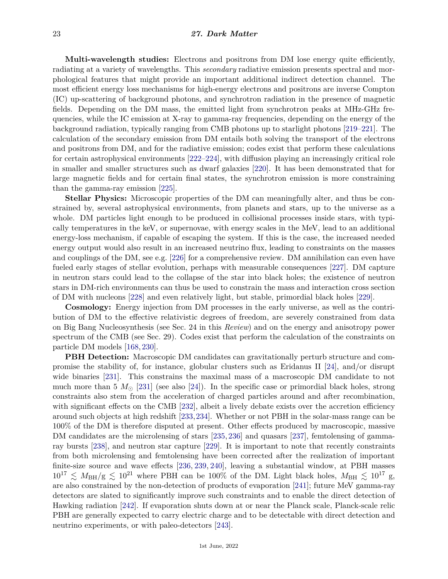**Multi-wavelength studies:** Electrons and positrons from DM lose energy quite efficiently, radiating at a variety of wavelengths. This *secondary* radiative emission presents spectral and morphological features that might provide an important additional indirect detection channel. The most efficient energy loss mechanisms for high-energy electrons and positrons are inverse Compton (IC) up-scattering of background photons, and synchrotron radiation in the presence of magnetic fields. Depending on the DM mass, the emitted light from synchrotron peaks at MHz-GHz frequencies, while the IC emission at X-ray to gamma-ray frequencies, depending on the energy of the background radiation, typically ranging from CMB photons up to starlight photons [\[219–](#page-29-11)[221\]](#page-29-12). The calculation of the secondary emission from DM entails both solving the transport of the electrons and positrons from DM, and for the radiative emission; codes exist that perform these calculations for certain astrophysical environments [\[222–](#page-29-13)[224\]](#page-29-14), with diffusion playing an increasingly critical role in smaller and smaller structures such as dwarf galaxies [\[220\]](#page-29-15). It has been demonstrated that for large magnetic fields and for certain final states, the synchrotron emission is more constraining than the gamma-ray emission [\[225\]](#page-29-16).

**Stellar Physics:** Microscopic properties of the DM can meaningfully alter, and thus be constrained by, several astrophysical environments, from planets and stars, up to the universe as a whole. DM particles light enough to be produced in collisional processes inside stars, with typically temperatures in the keV, or supernovae, with energy scales in the MeV, lead to an additional energy-loss mechanism, if capable of escaping the system. If this is the case, the increased needed energy output would also result in an increased neutrino flux, leading to constraints on the masses and couplings of the DM, see e.g. [\[226\]](#page-29-17) for a comprehensive review. DM annihilation can even have fueled early stages of stellar evolution, perhaps with measurable consequences [\[227\]](#page-29-18). DM capture in neutron stars could lead to the collapse of the star into black holes; the existence of neutron stars in DM-rich environments can thus be used to constrain the mass and interaction cross section of DM with nucleons [\[228\]](#page-29-19) and even relatively light, but stable, primordial black holes [\[229\]](#page-29-20).

**Cosmology:** Energy injection from DM processes in the early universe, as well as the contribution of DM to the effective relativistic degrees of freedom, are severely constrained from data on Big Bang Nucleosynthesis (see Sec. 24 in this *Review*) and on the energy and anisotropy power spectrum of the CMB (see Sec. 29). Codes exist that perform the calculation of the constraints on particle DM models [\[168,](#page-27-30) [230\]](#page-29-21).

**PBH Detection:** Macroscopic DM candidates can gravitationally perturb structure and compromise the stability of, for instance, globular clusters such as Eridanus II [\[24\]](#page-23-22), and/or disrupt wide binaries [\[231\]](#page-29-22). This constrains the maximal mass of a macroscopic DM candidate to not much more than  $5 M_{\odot}$  [\[231\]](#page-29-22) (see also [\[24\]](#page-23-22)). In the specific case or primordial black holes, strong constraints also stem from the acceleration of charged particles around and after recombination, with significant effects on the CMB [\[232\]](#page-29-23), albeit a lively debate exists over the accretion efficiency around such objects at high redshift [\[233,](#page-29-24)[234\]](#page-29-25). Whether or not PBH in the solar-mass range can be 100% of the DM is therefore disputed at present. Other effects produced by macroscopic, massive DM candidates are the microlensing of stars [\[235,](#page-29-26) [236\]](#page-29-27) and quasars [\[237\]](#page-29-28), femtolensing of gammaray bursts [\[238\]](#page-30-0), and neutron star capture [\[229\]](#page-29-20). It is important to note that recently constraints from both microlensing and femtolensing have been corrected after the realization of important finite-size source and wave effects [\[236,](#page-29-27) [239,](#page-30-1) [240\]](#page-30-2), leaving a substantial window, at PBH masses  $10^{17} \lesssim M_{\text{BH}}/g \lesssim 10^{21}$  where PBH can be 100% of the DM. Light black holes,  $M_{\text{BH}} \lesssim 10^{17}$  g, are also constrained by the non-detection of products of evaporation [\[241\]](#page-30-3); future MeV gamma-ray detectors are slated to significantly improve such constraints and to enable the direct detection of Hawking radiation [\[242\]](#page-30-4). If evaporation shuts down at or near the Planck scale, Planck-scale relic PBH are generally expected to carry electric charge and to be detectable with direct detection and neutrino experiments, or with paleo-detectors [\[243\]](#page-30-5).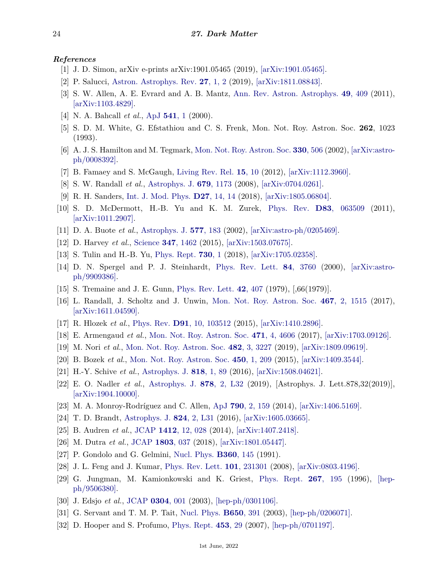### <span id="page-23-0"></span>*References*

- [1] J. D. Simon, arXiv e-prints arXiv:1901.05465 (2019), [\[arXiv:1901.05465\].](https://arxiv.org/abs/1901.05465)
- <span id="page-23-1"></span>[2] P. Salucci, [Astron. Astrophys. Rev.](http://doi.org/10.1007/s00159-018-0113-1) **27**[, 1, 2](http://doi.org/10.1007/s00159-018-0113-1) (2019), [\[arXiv:1811.08843\].](https://arxiv.org/abs/1811.08843)
- <span id="page-23-2"></span>[3] S. W. Allen, A. E. Evrard and A. B. Mantz, [Ann. Rev. Astron. Astrophys.](http://doi.org/10.1146/annurev-astro-081710-102514) **49**[, 409](http://doi.org/10.1146/annurev-astro-081710-102514) (2011), [\[arXiv:1103.4829\].](https://arxiv.org/abs/1103.4829)
- <span id="page-23-3"></span>[4] N. A. Bahcall *et al.*, [ApJ](http://doi.org/10.1086/309423) **[541](http://doi.org/10.1086/309423)**, 1 (2000).
- <span id="page-23-4"></span>[5] S. D. M. White, G. Efstathiou and C. S. Frenk, Mon. Not. Roy. Astron. Soc. **262**, 1023 (1993).
- <span id="page-23-5"></span>[6] A. J. S. Hamilton and M. Tegmark, [Mon. Not. Roy. Astron. Soc.](http://doi.org/10.1046/j.1365-8711.2002.05033.x) **330**[, 506](http://doi.org/10.1046/j.1365-8711.2002.05033.x) (2002), [\[arXiv:astro](https://arxiv.org/abs/astro-ph/0008392)[ph/0008392\].](https://arxiv.org/abs/astro-ph/0008392)
- <span id="page-23-6"></span>[7] B. Famaey and S. McGaugh, [Living Rev. Rel.](http://doi.org/10.12942/lrr-2012-10) **15**[, 10](http://doi.org/10.12942/lrr-2012-10) (2012), [\[arXiv:1112.3960\].](https://arxiv.org/abs/1112.3960)
- <span id="page-23-7"></span>[8] S. W. Randall *et al.*, [Astrophys. J.](http://doi.org/10.1086/587859) **679**[, 1173](http://doi.org/10.1086/587859) (2008), [\[arXiv:0704.0261\].](https://arxiv.org/abs/0704.0261)
- <span id="page-23-8"></span>[9] R. H. Sanders, [Int. J. Mod. Phys.](http://doi.org/10.1142/S0218271818470272) **D27**[, 14, 14](http://doi.org/10.1142/S0218271818470272) (2018), [\[arXiv:1805.06804\].](https://arxiv.org/abs/1805.06804)
- <span id="page-23-9"></span>[10] S. D. McDermott, H.-B. Yu and K. M. Zurek, [Phys. Rev.](http://doi.org/10.1103/PhysRevD.83.063509) **D83**[, 063509](http://doi.org/10.1103/PhysRevD.83.063509) (2011), [\[arXiv:1011.2907\].](https://arxiv.org/abs/1011.2907)
- <span id="page-23-10"></span>[11] D. A. Buote *et al.*, [Astrophys. J.](http://doi.org/10.1086/342158) **577**[, 183](http://doi.org/10.1086/342158) (2002), [\[arXiv:astro-ph/0205469\].](https://arxiv.org/abs/astro-ph/0205469)
- <span id="page-23-11"></span>[12] D. Harvey *et al.*, [Science](http://doi.org/10.1126/science.1261381) **347**[, 1462](http://doi.org/10.1126/science.1261381) (2015), [\[arXiv:1503.07675\].](https://arxiv.org/abs/1503.07675)
- <span id="page-23-12"></span>[13] S. Tulin and H.-B. Yu, [Phys. Rept.](http://doi.org/10.1016/j.physrep.2017.11.004) **[730](http://doi.org/10.1016/j.physrep.2017.11.004)**, 1 (2018), [\[arXiv:1705.02358\].](https://arxiv.org/abs/1705.02358)
- <span id="page-23-13"></span>[14] D. N. Spergel and P. J. Steinhardt, [Phys. Rev. Lett.](http://doi.org/10.1103/PhysRevLett.84.3760) **84**[, 3760](http://doi.org/10.1103/PhysRevLett.84.3760) (2000), [\[arXiv:astro](https://arxiv.org/abs/astro-ph/9909386)[ph/9909386\].](https://arxiv.org/abs/astro-ph/9909386)
- <span id="page-23-14"></span>[15] S. Tremaine and J. E. Gunn, [Phys. Rev. Lett.](http://doi.org/10.1103/PhysRevLett.42.407) **42**[, 407](http://doi.org/10.1103/PhysRevLett.42.407) (1979), [,66(1979)].
- <span id="page-23-15"></span>[16] L. Randall, J. Scholtz and J. Unwin, [Mon. Not. Roy. Astron. Soc.](http://doi.org/10.1093/mnras/stx161) **467**[, 2, 1515](http://doi.org/10.1093/mnras/stx161) (2017), [\[arXiv:1611.04590\].](https://arxiv.org/abs/1611.04590)
- <span id="page-23-16"></span>[17] R. Hlozek *et al.*, [Phys. Rev.](http://doi.org/10.1103/PhysRevD.91.103512) **D91**[, 10, 103512](http://doi.org/10.1103/PhysRevD.91.103512) (2015), [\[arXiv:1410.2896\].](https://arxiv.org/abs/1410.2896)
- <span id="page-23-17"></span>[18] E. Armengaud *et al.*, [Mon. Not. Roy. Astron. Soc.](http://doi.org/10.1093/mnras/stx1870) **471**[, 4, 4606](http://doi.org/10.1093/mnras/stx1870) (2017), [\[arXiv:1703.09126\].](https://arxiv.org/abs/1703.09126)
- <span id="page-23-18"></span>[19] M. Nori *et al.*, [Mon. Not. Roy. Astron. Soc.](http://doi.org/10.1093/mnras/sty2888) **482**[, 3, 3227](http://doi.org/10.1093/mnras/sty2888) (2019), [\[arXiv:1809.09619\].](https://arxiv.org/abs/1809.09619)
- <span id="page-23-19"></span>[20] B. Bozek *et al.*, [Mon. Not. Roy. Astron. Soc.](http://doi.org/10.1093/mnras/stv624) **450**[, 1, 209](http://doi.org/10.1093/mnras/stv624) (2015), [\[arXiv:1409.3544\].](https://arxiv.org/abs/1409.3544)
- [21] H.-Y. Schive *et al.*, [Astrophys. J.](http://doi.org/10.3847/0004-637X/818/1/89) **818**[, 1, 89](http://doi.org/10.3847/0004-637X/818/1/89) (2016), [\[arXiv:1508.04621\].](https://arxiv.org/abs/1508.04621)
- <span id="page-23-20"></span>[22] E. O. Nadler *et al.*, [Astrophys. J.](http://doi.org/10.3847/2041-8213/ab1eb2) **878**[, 2, L32](http://doi.org/10.3847/2041-8213/ab1eb2) (2019), [Astrophys. J. Lett.878,32(2019)], [\[arXiv:1904.10000\].](https://arxiv.org/abs/1904.10000)
- <span id="page-23-21"></span>[23] M. A. Monroy-Rodríguez and C. Allen, [ApJ](http://doi.org/10.1088/0004-637X/790/2/159) **790**[, 2, 159](http://doi.org/10.1088/0004-637X/790/2/159) (2014), [\[arXiv:1406.5169\].](https://arxiv.org/abs/1406.5169)
- <span id="page-23-22"></span>[24] T. D. Brandt, [Astrophys. J.](http://doi.org/10.3847/2041-8205/824/2/L31) **824**[, 2, L31](http://doi.org/10.3847/2041-8205/824/2/L31) (2016), [\[arXiv:1605.03665\].](https://arxiv.org/abs/1605.03665)
- <span id="page-23-23"></span>[25] B. Audren *et al.*, [JCAP](http://doi.org/10.1088/1475-7516/2014/12/028) **1412**[, 12, 028](http://doi.org/10.1088/1475-7516/2014/12/028) (2014), [\[arXiv:1407.2418\].](https://arxiv.org/abs/1407.2418)
- <span id="page-23-24"></span>[26] M. Dutra *et al.*, [JCAP](http://doi.org/10.1088/1475-7516/2018/03/037) **[1803](http://doi.org/10.1088/1475-7516/2018/03/037)**, 037 (2018), [\[arXiv:1801.05447\].](https://arxiv.org/abs/1801.05447)
- <span id="page-23-25"></span>[27] P. Gondolo and G. Gelmini, [Nucl. Phys.](http://doi.org/10.1016/0550-3213(91)90438-4) **[B360](http://doi.org/10.1016/0550-3213(91)90438-4)**, 145 (1991).
- <span id="page-23-26"></span>[28] J. L. Feng and J. Kumar, [Phys. Rev. Lett.](http://doi.org/10.1103/PhysRevLett.101.231301) **101**[, 231301](http://doi.org/10.1103/PhysRevLett.101.231301) (2008), [\[arXiv:0803.4196\].](https://arxiv.org/abs/0803.4196)
- <span id="page-23-27"></span>[29] G. Jungman, M. Kamionkowski and K. Griest, [Phys. Rept.](http://doi.org/10.1016/0370-1573(95)00058-5) **267**[, 195](http://doi.org/10.1016/0370-1573(95)00058-5) (1996), [\[hep](https://arxiv.org/abs/hep-ph/9506380)[ph/9506380\].](https://arxiv.org/abs/hep-ph/9506380)
- <span id="page-23-28"></span>[30] J. Edsjo *et al.*, [JCAP](http://doi.org/10.1088/1475-7516/2003/04/001) **[0304](http://doi.org/10.1088/1475-7516/2003/04/001)**, 001 (2003), [\[hep-ph/0301106\].](https://arxiv.org/abs/hep-ph/0301106)
- <span id="page-23-29"></span>[31] G. Servant and T. M. P. Tait, [Nucl. Phys.](http://doi.org/10.1016/S0550-3213(02)01012-X) **[B650](http://doi.org/10.1016/S0550-3213(02)01012-X)**, 391 (2003), [\[hep-ph/0206071\].](https://arxiv.org/abs/hep-ph/0206071)
- <span id="page-23-30"></span>[32] D. Hooper and S. Profumo, [Phys. Rept.](http://doi.org/10.1016/j.physrep.2007.09.003) **[453](http://doi.org/10.1016/j.physrep.2007.09.003)**, 29 (2007), [\[hep-ph/0701197\].](https://arxiv.org/abs/hep-ph/0701197)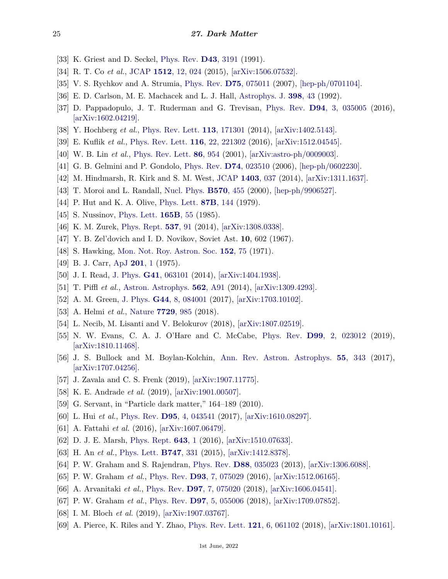- <span id="page-24-0"></span>[33] K. Griest and D. Seckel, [Phys. Rev.](http://doi.org/10.1103/PhysRevD.43.3191) **D43**[, 3191](http://doi.org/10.1103/PhysRevD.43.3191) (1991).
- <span id="page-24-1"></span>[34] R. T. Co *et al.*, [JCAP](http://doi.org/10.1088/1475-7516/2015/12/024) **1512**[, 12, 024](http://doi.org/10.1088/1475-7516/2015/12/024) (2015), [\[arXiv:1506.07532\].](https://arxiv.org/abs/1506.07532)
- <span id="page-24-2"></span>[35] V. S. Rychkov and A. Strumia, [Phys. Rev.](http://doi.org/10.1103/PhysRevD.75.075011) **D75**[, 075011](http://doi.org/10.1103/PhysRevD.75.075011) (2007), [\[hep-ph/0701104\].](https://arxiv.org/abs/hep-ph/0701104)
- <span id="page-24-3"></span>[36] E. D. Carlson, M. E. Machacek and L. J. Hall, [Astrophys. J.](http://doi.org/10.1086/171833) **[398](http://doi.org/10.1086/171833)**, 43 (1992).
- <span id="page-24-4"></span>[37] D. Pappadopulo, J. T. Ruderman and G. Trevisan, [Phys. Rev.](http://doi.org/10.1103/PhysRevD.94.035005) **D94**[, 3, 035005](http://doi.org/10.1103/PhysRevD.94.035005) (2016), [\[arXiv:1602.04219\].](https://arxiv.org/abs/1602.04219)
- <span id="page-24-5"></span>[38] Y. Hochberg *et al.*, [Phys. Rev. Lett.](http://doi.org/10.1103/PhysRevLett.113.171301) **113**[, 171301](http://doi.org/10.1103/PhysRevLett.113.171301) (2014), [\[arXiv:1402.5143\].](https://arxiv.org/abs/1402.5143)
- <span id="page-24-6"></span>[39] E. Kuflik *et al.*, [Phys. Rev. Lett.](http://doi.org/10.1103/PhysRevLett.116.221302) **116**[, 22, 221302](http://doi.org/10.1103/PhysRevLett.116.221302) (2016), [\[arXiv:1512.04545\].](https://arxiv.org/abs/1512.04545)
- <span id="page-24-7"></span>[40] W. B. Lin *et al.*, [Phys. Rev. Lett.](http://doi.org/10.1103/PhysRevLett.86.954) **86**[, 954](http://doi.org/10.1103/PhysRevLett.86.954) (2001), [\[arXiv:astro-ph/0009003\].](https://arxiv.org/abs/astro-ph/0009003)
- <span id="page-24-8"></span>[41] G. B. Gelmini and P. Gondolo, [Phys. Rev.](http://doi.org/10.1103/PhysRevD.74.023510) **D74**[, 023510](http://doi.org/10.1103/PhysRevD.74.023510) (2006), [\[hep-ph/0602230\].](https://arxiv.org/abs/hep-ph/0602230)
- <span id="page-24-9"></span>[42] M. Hindmarsh, R. Kirk and S. M. West, [JCAP](http://doi.org/10.1088/1475-7516/2014/03/037) **[1403](http://doi.org/10.1088/1475-7516/2014/03/037)**, 037 (2014), [\[arXiv:1311.1637\].](https://arxiv.org/abs/1311.1637)
- <span id="page-24-10"></span>[43] T. Moroi and L. Randall, [Nucl. Phys.](http://doi.org/10.1016/S0550-3213(99)00748-8) **[B570](http://doi.org/10.1016/S0550-3213(99)00748-8)**, 455 (2000), [\[hep-ph/9906527\].](https://arxiv.org/abs/hep-ph/9906527)
- <span id="page-24-11"></span>[44] P. Hut and K. A. Olive, [Phys. Lett.](http://doi.org/10.1016/0370-2693(79)90039-X) **87B**[, 144](http://doi.org/10.1016/0370-2693(79)90039-X) (1979).
- <span id="page-24-12"></span>[45] S. Nussinov, [Phys. Lett.](http://doi.org/10.1016/0370-2693(85)90689-6) **[165B](http://doi.org/10.1016/0370-2693(85)90689-6)**, 55 (1985).
- <span id="page-24-13"></span>[46] K. M. Zurek, [Phys. Rept.](http://doi.org/10.1016/j.physrep.2013.12.001) **[537](http://doi.org/10.1016/j.physrep.2013.12.001)**, 91 (2014), [\[arXiv:1308.0338\].](https://arxiv.org/abs/1308.0338)
- <span id="page-24-14"></span>[47] Y. B. Zel'dovich and I. D. Novikov, Soviet Ast. **10**, 602 (1967).
- <span id="page-24-15"></span>[48] S. Hawking, [Mon. Not. Roy. Astron. Soc.](http://doi.org/10.1093/mnras/152.1.75) **[152](http://doi.org/10.1093/mnras/152.1.75)**, 75 (1971).
- <span id="page-24-16"></span>[49] B. J. Carr, [ApJ](http://doi.org/10.1086/153853) **[201](http://doi.org/10.1086/153853)**, 1 (1975).
- <span id="page-24-18"></span><span id="page-24-17"></span>[50] J. I. Read, [J. Phys.](http://doi.org/10.1088/0954-3899/41/6/063101) **G41**[, 063101](http://doi.org/10.1088/0954-3899/41/6/063101) (2014), [\[arXiv:1404.1938\].](https://arxiv.org/abs/1404.1938)
- [51] T. Piffl *et al.*, [Astron. Astrophys.](http://doi.org/10.1051/0004-6361/201322531) **562**[, A91](http://doi.org/10.1051/0004-6361/201322531) (2014), [\[arXiv:1309.4293\].](https://arxiv.org/abs/1309.4293)
- <span id="page-24-19"></span>[52] A. M. Green, [J. Phys.](http://doi.org/10.1088/1361-6471/aa7819) **G44**[, 8, 084001](http://doi.org/10.1088/1361-6471/aa7819) (2017), [\[arXiv:1703.10102\].](https://arxiv.org/abs/1703.10102)
- <span id="page-24-20"></span>[53] A. Helmi *et al.*, [Nature](http://doi.org/10.1038/s41586-018-0625-x) **[7729](http://doi.org/10.1038/s41586-018-0625-x)**, 985 (2018).
- <span id="page-24-21"></span>[54] L. Necib, M. Lisanti and V. Belokurov (2018), [\[arXiv:1807.02519\].](https://arxiv.org/abs/1807.02519)
- <span id="page-24-22"></span>[55] N. W. Evans, C. A. J. O'Hare and C. McCabe, [Phys. Rev.](http://doi.org/10.1103/PhysRevD.99.023012) **D99**[, 2, 023012](http://doi.org/10.1103/PhysRevD.99.023012) (2019), [\[arXiv:1810.11468\].](https://arxiv.org/abs/1810.11468)
- <span id="page-24-23"></span>[56] J. S. Bullock and M. Boylan-Kolchin, [Ann. Rev. Astron. Astrophys.](http://doi.org/10.1146/annurev-astro-091916-055313) **55**[, 343](http://doi.org/10.1146/annurev-astro-091916-055313) (2017), [\[arXiv:1707.04256\].](https://arxiv.org/abs/1707.04256)
- <span id="page-24-24"></span>[57] J. Zavala and C. S. Frenk (2019), [\[arXiv:1907.11775\].](https://arxiv.org/abs/1907.11775)
- <span id="page-24-25"></span>[58] K. E. Andrade *et al.* (2019), [\[arXiv:1901.00507\].](https://arxiv.org/abs/1901.00507)
- <span id="page-24-26"></span>[59] G. Servant, in "Particle dark matter," 164–189 (2010).
- <span id="page-24-27"></span>[60] L. Hui *et al.*, [Phys. Rev.](http://doi.org/10.1103/PhysRevD.95.043541) **D95**[, 4, 043541](http://doi.org/10.1103/PhysRevD.95.043541) (2017), [\[arXiv:1610.08297\].](https://arxiv.org/abs/1610.08297)
- <span id="page-24-28"></span>[61] A. Fattahi *et al.* (2016), [\[arXiv:1607.06479\].](https://arxiv.org/abs/1607.06479)
- <span id="page-24-29"></span>[62] D. J. E. Marsh, [Phys. Rept.](http://doi.org/10.1016/j.physrep.2016.06.005) **[643](http://doi.org/10.1016/j.physrep.2016.06.005)**, 1 (2016), [\[arXiv:1510.07633\].](https://arxiv.org/abs/1510.07633)
- <span id="page-24-30"></span>[63] H. An *et al.*, [Phys. Lett.](http://doi.org/10.1016/j.physletb.2015.06.018) **[B747](http://doi.org/10.1016/j.physletb.2015.06.018)**, 331 (2015), [\[arXiv:1412.8378\].](https://arxiv.org/abs/1412.8378)
- <span id="page-24-31"></span>[64] P. W. Graham and S. Rajendran, [Phys. Rev.](http://doi.org/10.1103/PhysRevD.88.035023) **D88**[, 035023](http://doi.org/10.1103/PhysRevD.88.035023) (2013), [\[arXiv:1306.6088\].](https://arxiv.org/abs/1306.6088)
- <span id="page-24-32"></span>[65] P. W. Graham *et al.*, [Phys. Rev.](http://doi.org/10.1103/PhysRevD.93.075029) **D93**[, 7, 075029](http://doi.org/10.1103/PhysRevD.93.075029) (2016), [\[arXiv:1512.06165\].](https://arxiv.org/abs/1512.06165)
- <span id="page-24-33"></span>[66] A. Arvanitaki *et al.*, [Phys. Rev.](http://doi.org/10.1103/PhysRevD.97.075020) **D97**[, 7, 075020](http://doi.org/10.1103/PhysRevD.97.075020) (2018), [\[arXiv:1606.04541\].](https://arxiv.org/abs/1606.04541)
- <span id="page-24-34"></span>[67] P. W. Graham *et al.*, [Phys. Rev.](http://doi.org/10.1103/PhysRevD.97.055006) **D97**[, 5, 055006](http://doi.org/10.1103/PhysRevD.97.055006) (2018), [\[arXiv:1709.07852\].](https://arxiv.org/abs/1709.07852)
- <span id="page-24-35"></span>[68] I. M. Bloch *et al.* (2019), [\[arXiv:1907.03767\].](https://arxiv.org/abs/1907.03767)
- <span id="page-24-36"></span>[69] A. Pierce, K. Riles and Y. Zhao, [Phys. Rev. Lett.](http://doi.org/10.1103/PhysRevLett.121.061102) **121**[, 6, 061102](http://doi.org/10.1103/PhysRevLett.121.061102) (2018), [\[arXiv:1801.10161\].](https://arxiv.org/abs/1801.10161)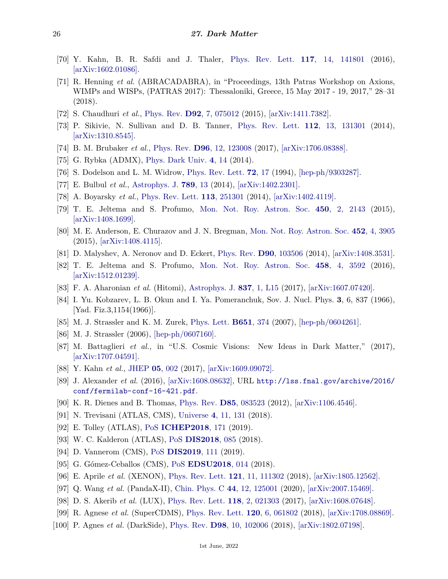- <span id="page-25-0"></span>[70] Y. Kahn, B. R. Safdi and J. Thaler, [Phys. Rev. Lett.](http://doi.org/10.1103/PhysRevLett.117.141801) **117**[, 14, 141801](http://doi.org/10.1103/PhysRevLett.117.141801) (2016), [\[arXiv:1602.01086\].](https://arxiv.org/abs/1602.01086)
- <span id="page-25-1"></span>[71] R. Henning *et al.* (ABRACADABRA), in "Proceedings, 13th Patras Workshop on Axions, WIMPs and WISPs, (PATRAS 2017): Thessaloniki, Greece, 15 May 2017 - 19, 2017," 28–31 (2018).
- <span id="page-25-2"></span>[72] S. Chaudhuri *et al.*, [Phys. Rev.](http://doi.org/10.1103/PhysRevD.92.075012) **D92**[, 7, 075012](http://doi.org/10.1103/PhysRevD.92.075012) (2015), [\[arXiv:1411.7382\].](https://arxiv.org/abs/1411.7382)
- <span id="page-25-3"></span>[73] P. Sikivie, N. Sullivan and D. B. Tanner, [Phys. Rev. Lett.](http://doi.org/10.1103/PhysRevLett.112.131301) **112**[, 13, 131301](http://doi.org/10.1103/PhysRevLett.112.131301) (2014), [\[arXiv:1310.8545\].](https://arxiv.org/abs/1310.8545)
- <span id="page-25-4"></span>[74] B. M. Brubaker *et al.*, [Phys. Rev.](http://doi.org/10.1103/PhysRevD.96.123008) **D96**[, 12, 123008](http://doi.org/10.1103/PhysRevD.96.123008) (2017), [\[arXiv:1706.08388\].](https://arxiv.org/abs/1706.08388)
- <span id="page-25-5"></span>[75] G. Rybka (ADMX), [Phys. Dark Univ.](http://doi.org/10.1016/j.dark.2014.05.003) **4**[, 14](http://doi.org/10.1016/j.dark.2014.05.003) (2014).
- <span id="page-25-6"></span>[76] S. Dodelson and L. M. Widrow, [Phys. Rev. Lett.](http://doi.org/10.1103/PhysRevLett.72.17) **72**[, 17](http://doi.org/10.1103/PhysRevLett.72.17) (1994), [\[hep-ph/9303287\].](https://arxiv.org/abs/hep-ph/9303287)
- <span id="page-25-7"></span>[77] E. Bulbul *et al.*, [Astrophys. J.](http://doi.org/10.1088/0004-637X/789/1/13) **[789](http://doi.org/10.1088/0004-637X/789/1/13)**, 13 (2014), [\[arXiv:1402.2301\].](https://arxiv.org/abs/1402.2301)
- <span id="page-25-8"></span>[78] A. Boyarsky *et al.*, [Phys. Rev. Lett.](http://doi.org/10.1103/PhysRevLett.113.251301) **113**[, 251301](http://doi.org/10.1103/PhysRevLett.113.251301) (2014), [\[arXiv:1402.4119\].](https://arxiv.org/abs/1402.4119)
- <span id="page-25-9"></span>[79] T. E. Jeltema and S. Profumo, [Mon. Not. Roy. Astron. Soc.](http://doi.org/10.1093/mnras/stv768) **450**[, 2, 2143](http://doi.org/10.1093/mnras/stv768) (2015), [\[arXiv:1408.1699\].](https://arxiv.org/abs/1408.1699)
- <span id="page-25-10"></span>[80] M. E. Anderson, E. Churazov and J. N. Bregman, [Mon. Not. Roy. Astron. Soc.](http://doi.org/10.1093/mnras/stv1559) **452**[, 4, 3905](http://doi.org/10.1093/mnras/stv1559) (2015), [\[arXiv:1408.4115\].](https://arxiv.org/abs/1408.4115)
- <span id="page-25-11"></span>[81] D. Malyshev, A. Neronov and D. Eckert, [Phys. Rev.](http://doi.org/10.1103/PhysRevD.90.103506) **D90**[, 103506](http://doi.org/10.1103/PhysRevD.90.103506) (2014), [\[arXiv:1408.3531\].](https://arxiv.org/abs/1408.3531)
- <span id="page-25-12"></span>[82] T. E. Jeltema and S. Profumo, [Mon. Not. Roy. Astron. Soc.](http://doi.org/10.1093/mnras/stw578) **458**[, 4, 3592](http://doi.org/10.1093/mnras/stw578) (2016),  $\vert \text{arXiv:1512.01239} \vert.$
- <span id="page-25-14"></span><span id="page-25-13"></span>[83] F. A. Aharonian *et al.* (Hitomi), [Astrophys. J.](http://doi.org/10.3847/2041-8213/aa61fa) **837**[, 1, L15](http://doi.org/10.3847/2041-8213/aa61fa) (2017), [\[arXiv:1607.07420\].](https://arxiv.org/abs/1607.07420)
- [84] I. Yu. Kobzarev, L. B. Okun and I. Ya. Pomeranchuk, Sov. J. Nucl. Phys. **3**, 6, 837 (1966), [Yad. Fiz.3,1154(1966)].
- <span id="page-25-15"></span>[85] M. J. Strassler and K. M. Zurek, [Phys. Lett.](http://doi.org/10.1016/j.physletb.2007.06.055) **[B651](http://doi.org/10.1016/j.physletb.2007.06.055)**, 374 (2007), [\[hep-ph/0604261\].](https://arxiv.org/abs/hep-ph/0604261)
- <span id="page-25-16"></span>[86] M. J. Strassler (2006), [\[hep-ph/0607160\].](https://arxiv.org/abs/hep-ph/0607160)
- <span id="page-25-17"></span>[87] M. Battaglieri *et al.*, in "U.S. Cosmic Visions: New Ideas in Dark Matter," (2017), [\[arXiv:1707.04591\].](https://arxiv.org/abs/1707.04591)
- <span id="page-25-18"></span>[88] Y. Kahn *et al.*, [JHEP](http://doi.org/10.1007/JHEP05(2017)002) **05**[, 002](http://doi.org/10.1007/JHEP05(2017)002) (2017), [\[arXiv:1609.09072\].](https://arxiv.org/abs/1609.09072)
- <span id="page-25-19"></span>[89] J. Alexander *et al.* (2016), [\[arXiv:1608.08632\],](https://arxiv.org/abs/1608.08632) URL [http://lss.fnal.gov/archive/2016/](http://lss.fnal.gov/archive/2016/conf/fermilab-conf-16-421.pdf) [conf/fermilab-conf-16-421.pdf](http://lss.fnal.gov/archive/2016/conf/fermilab-conf-16-421.pdf).
- <span id="page-25-21"></span><span id="page-25-20"></span>[90] K. R. Dienes and B. Thomas, [Phys. Rev.](http://doi.org/10.1103/PhysRevD.85.083523) **D85**[, 083523](http://doi.org/10.1103/PhysRevD.85.083523) (2012), [\[arXiv:1106.4546\].](https://arxiv.org/abs/1106.4546)
- [91] N. Trevisani (ATLAS, CMS), [Universe](http://doi.org/10.3390/universe4110131) **4**[, 11, 131](http://doi.org/10.3390/universe4110131) (2018).
- [92] E. Tolley (ATLAS), [PoS](http://doi.org/10.22323/1.340.0171) **[ICHEP2018](http://doi.org/10.22323/1.340.0171)**, 171 (2019).
- [93] W. C. Kalderon (ATLAS), [PoS](http://doi.org/10.22323/1.316.0085) **[DIS2018](http://doi.org/10.22323/1.316.0085)**, 085 (2018).
- [94] D. Vannerom (CMS), [PoS](http://doi.org/10.22323/1.352.0111) **[DIS2019](http://doi.org/10.22323/1.352.0111)**, 111 (2019).
- <span id="page-25-22"></span>[95] G. Gómez-Ceballos (CMS), [PoS](http://doi.org/10.22323/1.335.0014) **[EDSU2018](http://doi.org/10.22323/1.335.0014)**, 014 (2018).
- <span id="page-25-23"></span>[96] E. Aprile *et al.* (XENON), [Phys. Rev. Lett.](http://doi.org/10.1103/PhysRevLett.121.111302) **121**[, 11, 111302](http://doi.org/10.1103/PhysRevLett.121.111302) (2018), [\[arXiv:1805.12562\].](https://arxiv.org/abs/1805.12562)
- <span id="page-25-24"></span>[97] Q. Wang *et al.* (PandaX-II), [Chin. Phys. C](http://doi.org/10.1088/1674-1137/abb658) **44**[, 12, 125001](http://doi.org/10.1088/1674-1137/abb658) (2020), [\[arXiv:2007.15469\].](https://arxiv.org/abs/2007.15469)
- <span id="page-25-25"></span>[98] D. S. Akerib *et al.* (LUX), [Phys. Rev. Lett.](http://doi.org/10.1103/PhysRevLett.118.021303) **118**[, 2, 021303](http://doi.org/10.1103/PhysRevLett.118.021303) (2017), [\[arXiv:1608.07648\].](https://arxiv.org/abs/1608.07648)
- <span id="page-25-26"></span>[99] R. Agnese *et al.* (SuperCDMS), [Phys. Rev. Lett.](http://doi.org/10.1103/PhysRevLett.120.061802) **120**[, 6, 061802](http://doi.org/10.1103/PhysRevLett.120.061802) (2018), [\[arXiv:1708.08869\].](https://arxiv.org/abs/1708.08869)
- <span id="page-25-27"></span>[100] P. Agnes *et al.* (DarkSide), [Phys. Rev.](http://doi.org/10.1103/PhysRevD.98.102006) **D98**[, 10, 102006](http://doi.org/10.1103/PhysRevD.98.102006) (2018), [\[arXiv:1802.07198\].](https://arxiv.org/abs/1802.07198)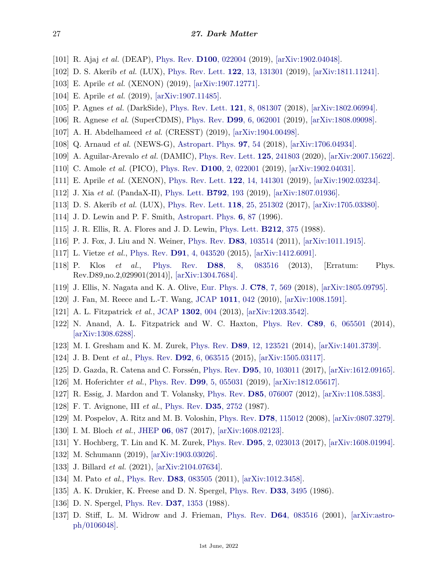- <span id="page-26-1"></span>[101] R. Ajaj *et al.* (DEAP), [Phys. Rev.](http://doi.org/10.1103/PhysRevD.100.022004) **D100**[, 022004](http://doi.org/10.1103/PhysRevD.100.022004) (2019), [\[arXiv:1902.04048\].](https://arxiv.org/abs/1902.04048)
- <span id="page-26-2"></span>[102] D. S. Akerib *et al.* (LUX), [Phys. Rev. Lett.](http://doi.org/10.1103/PhysRevLett.122.131301) **122**[, 13, 131301](http://doi.org/10.1103/PhysRevLett.122.131301) (2019), [\[arXiv:1811.11241\].](https://arxiv.org/abs/1811.11241)
- <span id="page-26-3"></span>[103] E. Aprile *et al.* (XENON) (2019), [\[arXiv:1907.12771\].](https://arxiv.org/abs/1907.12771)
- <span id="page-26-4"></span>[104] E. Aprile *et al.* (2019), [\[arXiv:1907.11485\].](https://arxiv.org/abs/1907.11485)
- <span id="page-26-5"></span>[105] P. Agnes *et al.* (DarkSide), [Phys. Rev. Lett.](http://doi.org/10.1103/PhysRevLett.121.081307) **121**[, 8, 081307](http://doi.org/10.1103/PhysRevLett.121.081307) (2018), [\[arXiv:1802.06994\].](https://arxiv.org/abs/1802.06994)
- <span id="page-26-6"></span>[106] R. Agnese *et al.* (SuperCDMS), [Phys. Rev.](http://doi.org/10.1103/PhysRevD.99.062001) **D99**[, 6, 062001](http://doi.org/10.1103/PhysRevD.99.062001) (2019), [\[arXiv:1808.09098\].](https://arxiv.org/abs/1808.09098)
- <span id="page-26-7"></span>[107] A. H. Abdelhameed *et al.* (CRESST) (2019), [\[arXiv:1904.00498\].](https://arxiv.org/abs/1904.00498)
- <span id="page-26-8"></span>[108] Q. Arnaud *et al.* (NEWS-G), [Astropart. Phys.](http://doi.org/10.1016/j.astropartphys.2017.10.009) **97**[, 54](http://doi.org/10.1016/j.astropartphys.2017.10.009) (2018), [\[arXiv:1706.04934\].](https://arxiv.org/abs/1706.04934)
- <span id="page-26-9"></span>[109] A. Aguilar-Arevalo *et al.* (DAMIC), [Phys. Rev. Lett.](http://doi.org/10.1103/PhysRevLett.125.241803) **125**[, 241803](http://doi.org/10.1103/PhysRevLett.125.241803) (2020), [\[arXiv:2007.15622\].](https://arxiv.org/abs/2007.15622)
- <span id="page-26-10"></span>[110] C. Amole *et al.* (PICO), [Phys. Rev.](http://doi.org/10.1103/PhysRevD.100.022001) **D100**[, 2, 022001](http://doi.org/10.1103/PhysRevD.100.022001) (2019), [\[arXiv:1902.04031\].](https://arxiv.org/abs/1902.04031)
- <span id="page-26-11"></span>[111] E. Aprile *et al.* (XENON), [Phys. Rev. Lett.](http://doi.org/10.1103/PhysRevLett.122.141301) **122**[, 14, 141301](http://doi.org/10.1103/PhysRevLett.122.141301) (2019), [\[arXiv:1902.03234\].](https://arxiv.org/abs/1902.03234)
- <span id="page-26-12"></span>[112] J. Xia *et al.* (PandaX-II), [Phys. Lett.](http://doi.org/10.1016/j.physletb.2019.02.043) **[B792](http://doi.org/10.1016/j.physletb.2019.02.043)**, 193 (2019), [\[arXiv:1807.01936\].](https://arxiv.org/abs/1807.01936)
- <span id="page-26-13"></span>[113] D. S. Akerib *et al.* (LUX), [Phys. Rev. Lett.](http://doi.org/10.1103/PhysRevLett.118.251302) **118**[, 25, 251302](http://doi.org/10.1103/PhysRevLett.118.251302) (2017), [\[arXiv:1705.03380\].](https://arxiv.org/abs/1705.03380)
- <span id="page-26-0"></span>[114] J. D. Lewin and P. F. Smith, [Astropart. Phys.](http://doi.org/10.1016/S0927-6505(96)00047-3) **6**[, 87](http://doi.org/10.1016/S0927-6505(96)00047-3) (1996).
- <span id="page-26-14"></span>[115] J. R. Ellis, R. A. Flores and J. D. Lewin, [Phys. Lett.](http://doi.org/10.1016/0370-2693(88)91332-9) **[B212](http://doi.org/10.1016/0370-2693(88)91332-9)**, 375 (1988).
- <span id="page-26-15"></span>[116] P. J. Fox, J. Liu and N. Weiner, [Phys. Rev.](http://doi.org/10.1103/PhysRevD.83.103514) **D83**[, 103514](http://doi.org/10.1103/PhysRevD.83.103514) (2011), [\[arXiv:1011.1915\].](https://arxiv.org/abs/1011.1915)
- <span id="page-26-16"></span>[117] L. Vietze *et al.*, [Phys. Rev.](http://doi.org/10.1103/PhysRevD.91.043520) **D91**[, 4, 043520](http://doi.org/10.1103/PhysRevD.91.043520) (2015), [\[arXiv:1412.6091\].](https://arxiv.org/abs/1412.6091)
- <span id="page-26-17"></span>[118] P. Klos *et al.*, [Phys. Rev.](http://doi.org/10.1103/PhysRevD.89.029901) **D88**[, 8, 083516](http://doi.org/10.1103/PhysRevD.89.029901) (2013), [Erratum: Phys. Rev.D89,no.2,029901(2014)], [\[arXiv:1304.7684\].](https://arxiv.org/abs/1304.7684)
- <span id="page-26-18"></span>[119] J. Ellis, N. Nagata and K. A. Olive, [Eur. Phys. J.](http://doi.org/10.1140/epjc/s10052-018-6047-y) **C78**[, 7, 569](http://doi.org/10.1140/epjc/s10052-018-6047-y) (2018), [\[arXiv:1805.09795\].](https://arxiv.org/abs/1805.09795)
- <span id="page-26-19"></span>[120] J. Fan, M. Reece and L.-T. Wang, [JCAP](http://doi.org/10.1088/1475-7516/2010/11/042) **[1011](http://doi.org/10.1088/1475-7516/2010/11/042)**, 042 (2010), [\[arXiv:1008.1591\].](https://arxiv.org/abs/1008.1591)
- <span id="page-26-20"></span>[121] A. L. Fitzpatrick *et al.*, [JCAP](http://doi.org/10.1088/1475-7516/2013/02/004) **[1302](http://doi.org/10.1088/1475-7516/2013/02/004)**, 004 (2013), [\[arXiv:1203.3542\].](https://arxiv.org/abs/1203.3542)
- <span id="page-26-21"></span>[122] N. Anand, A. L. Fitzpatrick and W. C. Haxton, [Phys. Rev.](http://doi.org/10.1103/PhysRevC.89.065501) **C89**[, 6, 065501](http://doi.org/10.1103/PhysRevC.89.065501) (2014), [\[arXiv:1308.6288\].](https://arxiv.org/abs/1308.6288)
- <span id="page-26-22"></span>[123] M. I. Gresham and K. M. Zurek, [Phys. Rev.](http://doi.org/10.1103/PhysRevD.89.123521) **D89**[, 12, 123521](http://doi.org/10.1103/PhysRevD.89.123521) (2014), [\[arXiv:1401.3739\].](https://arxiv.org/abs/1401.3739)
- <span id="page-26-23"></span>[124] J. B. Dent *et al.*, [Phys. Rev.](http://doi.org/10.1103/PhysRevD.92.063515) **D92**[, 6, 063515](http://doi.org/10.1103/PhysRevD.92.063515) (2015), [\[arXiv:1505.03117\].](https://arxiv.org/abs/1505.03117)
- <span id="page-26-24"></span>[125] D. Gazda, R. Catena and C. Forssén, [Phys. Rev.](http://doi.org/10.1103/PhysRevD.95.103011) **D95**[, 10, 103011](http://doi.org/10.1103/PhysRevD.95.103011) (2017), [\[arXiv:1612.09165\].](https://arxiv.org/abs/1612.09165)
- <span id="page-26-25"></span>[126] M. Hoferichter *et al.*, [Phys. Rev.](http://doi.org/10.1103/PhysRevD.99.055031) **D99**[, 5, 055031](http://doi.org/10.1103/PhysRevD.99.055031) (2019), [\[arXiv:1812.05617\].](https://arxiv.org/abs/1812.05617)
- <span id="page-26-26"></span>[127] R. Essig, J. Mardon and T. Volansky, [Phys. Rev.](http://doi.org/10.1103/PhysRevD.85.076007) **D85**[, 076007](http://doi.org/10.1103/PhysRevD.85.076007) (2012), [\[arXiv:1108.5383\].](https://arxiv.org/abs/1108.5383)
- <span id="page-26-27"></span>[128] F. T. Avignone, III *et al.*, [Phys. Rev.](http://doi.org/10.1103/PhysRevD.35.2752) **D35**[, 2752](http://doi.org/10.1103/PhysRevD.35.2752) (1987).
- <span id="page-26-28"></span>[129] M. Pospelov, A. Ritz and M. B. Voloshin, [Phys. Rev.](http://doi.org/10.1103/PhysRevD.78.115012) **D78**[, 115012](http://doi.org/10.1103/PhysRevD.78.115012) (2008), [\[arXiv:0807.3279\].](https://arxiv.org/abs/0807.3279)
- <span id="page-26-29"></span>[130] I. M. Bloch *et al.*, [JHEP](http://doi.org/10.1007/JHEP06(2017)087) **06**[, 087](http://doi.org/10.1007/JHEP06(2017)087) (2017), [\[arXiv:1608.02123\].](https://arxiv.org/abs/1608.02123)
- <span id="page-26-30"></span>[131] Y. Hochberg, T. Lin and K. M. Zurek, [Phys. Rev.](http://doi.org/10.1103/PhysRevD.95.023013) **D95**[, 2, 023013](http://doi.org/10.1103/PhysRevD.95.023013) (2017), [\[arXiv:1608.01994\].](https://arxiv.org/abs/1608.01994)
- <span id="page-26-31"></span>[132] M. Schumann (2019), [\[arXiv:1903.03026\].](https://arxiv.org/abs/1903.03026)
- <span id="page-26-32"></span>[133] J. Billard *et al.* (2021), [\[arXiv:2104.07634\].](https://arxiv.org/abs/2104.07634)
- <span id="page-26-33"></span>[134] M. Pato *et al.*, [Phys. Rev.](http://doi.org/10.1103/PhysRevD.83.083505) **D83**[, 083505](http://doi.org/10.1103/PhysRevD.83.083505) (2011), [\[arXiv:1012.3458\].](https://arxiv.org/abs/1012.3458)
- <span id="page-26-34"></span>[135] A. K. Drukier, K. Freese and D. N. Spergel, [Phys. Rev.](http://doi.org/10.1103/PhysRevD.33.3495) **D33**[, 3495](http://doi.org/10.1103/PhysRevD.33.3495) (1986).
- <span id="page-26-35"></span>[136] D. N. Spergel, [Phys. Rev.](http://doi.org/10.1103/PhysRevD.37.1353) **D37**[, 1353](http://doi.org/10.1103/PhysRevD.37.1353) (1988).
- <span id="page-26-36"></span>[137] D. Stiff, L. M. Widrow and J. Frieman, [Phys. Rev.](http://doi.org/10.1103/PhysRevD.64.083516) **D64**[, 083516](http://doi.org/10.1103/PhysRevD.64.083516) (2001), [\[arXiv:astro](https://arxiv.org/abs/astro-ph/0106048)[ph/0106048\].](https://arxiv.org/abs/astro-ph/0106048)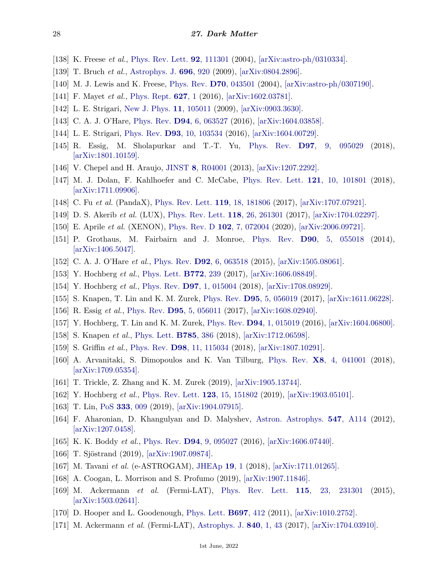- <span id="page-27-0"></span>[138] K. Freese *et al.*, [Phys. Rev. Lett.](http://doi.org/10.1103/PhysRevLett.92.111301) **92**[, 111301](http://doi.org/10.1103/PhysRevLett.92.111301) (2004), [\[arXiv:astro-ph/0310334\].](https://arxiv.org/abs/astro-ph/0310334)
- <span id="page-27-1"></span>[139] T. Bruch *et al.*, [Astrophys. J.](http://doi.org/10.1088/0004-637X/696/1/920) **696**[, 920](http://doi.org/10.1088/0004-637X/696/1/920) (2009), [\[arXiv:0804.2896\].](https://arxiv.org/abs/0804.2896)
- <span id="page-27-2"></span>[140] M. J. Lewis and K. Freese, [Phys. Rev.](http://doi.org/10.1103/PhysRevD.70.043501) **D70**[, 043501](http://doi.org/10.1103/PhysRevD.70.043501) (2004), [\[arXiv:astro-ph/0307190\].](https://arxiv.org/abs/astro-ph/0307190)
- <span id="page-27-3"></span>[141] F. Mayet *et al.*, [Phys. Rept.](http://doi.org/10.1016/j.physrep.2016.02.007) **[627](http://doi.org/10.1016/j.physrep.2016.02.007)**, 1 (2016), [\[arXiv:1602.03781\].](https://arxiv.org/abs/1602.03781)
- <span id="page-27-4"></span>[142] L. E. Strigari, [New J. Phys.](http://doi.org/10.1088/1367-2630/11/10/105011) **11**[, 105011](http://doi.org/10.1088/1367-2630/11/10/105011) (2009), [\[arXiv:0903.3630\].](https://arxiv.org/abs/0903.3630)
- <span id="page-27-5"></span>[143] C. A. J. O'Hare, [Phys. Rev.](http://doi.org/10.1103/PhysRevD.94.063527) **D94**[, 6, 063527](http://doi.org/10.1103/PhysRevD.94.063527) (2016), [\[arXiv:1604.03858\].](https://arxiv.org/abs/1604.03858)
- <span id="page-27-6"></span>[144] L. E. Strigari, [Phys. Rev.](http://doi.org/10.1103/PhysRevD.93.103534) **D93**[, 10, 103534](http://doi.org/10.1103/PhysRevD.93.103534) (2016), [\[arXiv:1604.00729\].](https://arxiv.org/abs/1604.00729)
- <span id="page-27-7"></span>[145] R. Essig, M. Sholapurkar and T.-T. Yu, [Phys. Rev.](http://doi.org/10.1103/PhysRevD.97.095029) **D97**[, 9, 095029](http://doi.org/10.1103/PhysRevD.97.095029) (2018), [\[arXiv:1801.10159\].](https://arxiv.org/abs/1801.10159)
- <span id="page-27-8"></span>[146] V. Chepel and H. Araujo, [JINST](http://doi.org/10.1088/1748-0221/8/04/R04001) **8**[, R04001](http://doi.org/10.1088/1748-0221/8/04/R04001) (2013), [\[arXiv:1207.2292\].](https://arxiv.org/abs/1207.2292)
- <span id="page-27-9"></span>[147] M. J. Dolan, F. Kahlhoefer and C. McCabe, [Phys. Rev. Lett.](http://doi.org/10.1103/PhysRevLett.121.101801) **121**[, 10, 101801](http://doi.org/10.1103/PhysRevLett.121.101801) (2018), [\[arXiv:1711.09906\].](https://arxiv.org/abs/1711.09906)
- <span id="page-27-10"></span>[148] C. Fu *et al.* (PandaX), [Phys. Rev. Lett.](http://doi.org/10.1103/PhysRevLett.119.181806) **119**[, 18, 181806](http://doi.org/10.1103/PhysRevLett.119.181806) (2017), [\[arXiv:1707.07921\].](https://arxiv.org/abs/1707.07921)
- <span id="page-27-11"></span>[149] D. S. Akerib *et al.* (LUX), [Phys. Rev. Lett.](http://doi.org/10.1103/PhysRevLett.118.261301) **118**[, 26, 261301](http://doi.org/10.1103/PhysRevLett.118.261301) (2017), [\[arXiv:1704.02297\].](https://arxiv.org/abs/1704.02297)
- <span id="page-27-12"></span>[150] E. Aprile *et al.* (XENON), [Phys. Rev. D](http://doi.org/10.1103/PhysRevD.102.072004) **102**[, 7, 072004](http://doi.org/10.1103/PhysRevD.102.072004) (2020), [\[arXiv:2006.09721\].](https://arxiv.org/abs/2006.09721)
- <span id="page-27-13"></span>[151] P. Grothaus, M. Fairbairn and J. Monroe, [Phys. Rev.](http://doi.org/10.1103/PhysRevD.90.055018) **D90**[, 5, 055018](http://doi.org/10.1103/PhysRevD.90.055018) (2014), [\[arXiv:1406.5047\].](https://arxiv.org/abs/1406.5047)
- <span id="page-27-14"></span>[152] C. A. J. O'Hare *et al.*, [Phys. Rev.](http://doi.org/10.1103/PhysRevD.92.063518) **D92**[, 6, 063518](http://doi.org/10.1103/PhysRevD.92.063518) (2015), [\[arXiv:1505.08061\].](https://arxiv.org/abs/1505.08061)
- <span id="page-27-15"></span>[153] Y. Hochberg *et al.*, [Phys. Lett.](http://doi.org/10.1016/j.physletb.2017.06.051) **[B772](http://doi.org/10.1016/j.physletb.2017.06.051)**, 239 (2017), [\[arXiv:1606.08849\].](https://arxiv.org/abs/1606.08849)
- <span id="page-27-16"></span>[154] Y. Hochberg *et al.*, [Phys. Rev.](http://doi.org/10.1103/PhysRevD.97.015004) **D97**[, 1, 015004](http://doi.org/10.1103/PhysRevD.97.015004) (2018), [\[arXiv:1708.08929\].](https://arxiv.org/abs/1708.08929)
- <span id="page-27-17"></span>[155] S. Knapen, T. Lin and K. M. Zurek, [Phys. Rev.](http://doi.org/10.1103/PhysRevD.95.056019) **D95**[, 5, 056019](http://doi.org/10.1103/PhysRevD.95.056019) (2017), [\[arXiv:1611.06228\].](https://arxiv.org/abs/1611.06228)
- <span id="page-27-18"></span>[156] R. Essig *et al.*, [Phys. Rev.](http://doi.org/10.1103/PhysRevD.95.056011) **D95**[, 5, 056011](http://doi.org/10.1103/PhysRevD.95.056011) (2017), [\[arXiv:1608.02940\].](https://arxiv.org/abs/1608.02940)
- <span id="page-27-19"></span>[157] Y. Hochberg, T. Lin and K. M. Zurek, [Phys. Rev.](http://doi.org/10.1103/PhysRevD.94.015019) **D94**[, 1, 015019](http://doi.org/10.1103/PhysRevD.94.015019) (2016), [\[arXiv:1604.06800\].](https://arxiv.org/abs/1604.06800)
- <span id="page-27-20"></span>[158] S. Knapen *et al.*, [Phys. Lett.](http://doi.org/10.1016/j.physletb.2018.08.064) **[B785](http://doi.org/10.1016/j.physletb.2018.08.064)**, 386 (2018), [\[arXiv:1712.06598\].](https://arxiv.org/abs/1712.06598)
- <span id="page-27-21"></span>[159] S. Griffin *et al.*, [Phys. Rev.](http://doi.org/10.1103/PhysRevD.98.115034) **D98**[, 11, 115034](http://doi.org/10.1103/PhysRevD.98.115034) (2018), [\[arXiv:1807.10291\].](https://arxiv.org/abs/1807.10291)
- <span id="page-27-22"></span>[160] A. Arvanitaki, S. Dimopoulos and K. Van Tilburg, [Phys. Rev.](http://doi.org/10.1103/PhysRevX.8.041001) **X8**[, 4, 041001](http://doi.org/10.1103/PhysRevX.8.041001) (2018), [\[arXiv:1709.05354\].](https://arxiv.org/abs/1709.05354)
- <span id="page-27-23"></span>[161] T. Trickle, Z. Zhang and K. M. Zurek (2019), [\[arXiv:1905.13744\].](https://arxiv.org/abs/1905.13744)
- <span id="page-27-24"></span>[162] Y. Hochberg *et al.*, [Phys. Rev. Lett.](http://doi.org/10.1103/PhysRevLett.123.151802) **123**[, 15, 151802](http://doi.org/10.1103/PhysRevLett.123.151802) (2019), [\[arXiv:1903.05101\].](https://arxiv.org/abs/1903.05101)
- <span id="page-27-25"></span>[163] T. Lin, [PoS](http://doi.org/10.22323/1.333.0009) **333**[, 009](http://doi.org/10.22323/1.333.0009) (2019), [\[arXiv:1904.07915\].](https://arxiv.org/abs/1904.07915)
- <span id="page-27-26"></span>[164] F. Aharonian, D. Khangulyan and D. Malyshev, [Astron. Astrophys.](http://doi.org/10.1051/0004-6361/201220092) **547**[, A114](http://doi.org/10.1051/0004-6361/201220092) (2012), [\[arXiv:1207.0458\].](https://arxiv.org/abs/1207.0458)
- <span id="page-27-27"></span>[165] K. K. Boddy *et al.*, [Phys. Rev.](http://doi.org/10.1103/PhysRevD.94.095027) **D94**[, 9, 095027](http://doi.org/10.1103/PhysRevD.94.095027) (2016), [\[arXiv:1606.07440\].](https://arxiv.org/abs/1606.07440)
- <span id="page-27-28"></span>[166] T. Sjöstrand (2019), [\[arXiv:1907.09874\].](https://arxiv.org/abs/1907.09874)
- <span id="page-27-29"></span>[167] M. Tavani *et al.* (e-ASTROGAM), [JHEAp](http://doi.org/10.1016/j.jheap.2018.07.001) **[19](http://doi.org/10.1016/j.jheap.2018.07.001)**, 1 (2018), [\[arXiv:1711.01265\].](https://arxiv.org/abs/1711.01265)
- <span id="page-27-30"></span>[168] A. Coogan, L. Morrison and S. Profumo (2019), [\[arXiv:1907.11846\].](https://arxiv.org/abs/1907.11846)
- <span id="page-27-31"></span>[169] M. Ackermann *et al.* (Fermi-LAT), [Phys. Rev. Lett.](http://doi.org/10.1103/PhysRevLett.115.231301) **115**[, 23, 231301](http://doi.org/10.1103/PhysRevLett.115.231301) (2015), [\[arXiv:1503.02641\].](https://arxiv.org/abs/1503.02641)
- <span id="page-27-32"></span>[170] D. Hooper and L. Goodenough, [Phys. Lett.](http://doi.org/10.1016/j.physletb.2011.02.029) **[B697](http://doi.org/10.1016/j.physletb.2011.02.029)**, 412 (2011), [\[arXiv:1010.2752\].](https://arxiv.org/abs/1010.2752)
- <span id="page-27-33"></span>[171] M. Ackermann *et al.* (Fermi-LAT), [Astrophys. J.](http://doi.org/10.3847/1538-4357/aa6cab) **840**[, 1, 43](http://doi.org/10.3847/1538-4357/aa6cab) (2017), [\[arXiv:1704.03910\].](https://arxiv.org/abs/1704.03910)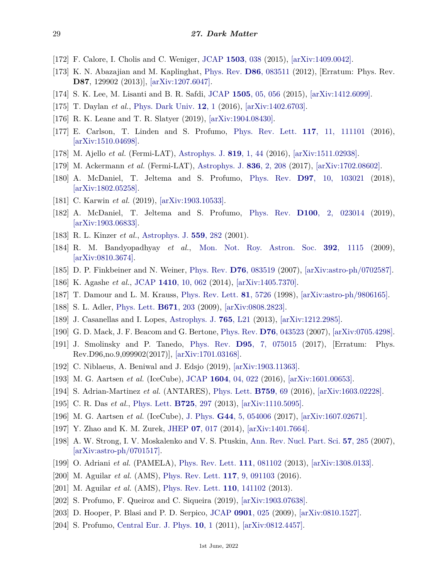- <span id="page-28-0"></span>[172] F. Calore, I. Cholis and C. Weniger, [JCAP](http://doi.org/10.1088/1475-7516/2015/03/038) **[1503](http://doi.org/10.1088/1475-7516/2015/03/038)**, 038 (2015), [\[arXiv:1409.0042\].](https://arxiv.org/abs/1409.0042)
- <span id="page-28-1"></span>[173] K. N. Abazajian and M. Kaplinghat, [Phys. Rev.](http://doi.org/10.1103/PhysRevD.86.083511) **D86**[, 083511](http://doi.org/10.1103/PhysRevD.86.083511) (2012), [Erratum: Phys. Rev. **D87**, 129902 (2013)], [\[arXiv:1207.6047\].](https://arxiv.org/abs/1207.6047)
- <span id="page-28-2"></span>[174] S. K. Lee, M. Lisanti and B. R. Safdi, [JCAP](http://doi.org/10.1088/1475-7516/2015/05/056) **1505**[, 05, 056](http://doi.org/10.1088/1475-7516/2015/05/056) (2015), [\[arXiv:1412.6099\].](https://arxiv.org/abs/1412.6099)
- <span id="page-28-3"></span>[175] T. Daylan *et al.*, [Phys. Dark Univ.](http://doi.org/10.1016/j.dark.2015.12.005) **[12](http://doi.org/10.1016/j.dark.2015.12.005)**, 1 (2016), [\[arXiv:1402.6703\].](https://arxiv.org/abs/1402.6703)
- <span id="page-28-4"></span>[176] R. K. Leane and T. R. Slatyer (2019), [\[arXiv:1904.08430\].](https://arxiv.org/abs/1904.08430)
- <span id="page-28-5"></span>[177] E. Carlson, T. Linden and S. Profumo, [Phys. Rev. Lett.](http://doi.org/10.1103/PhysRevLett.117.111101) **117**[, 11, 111101](http://doi.org/10.1103/PhysRevLett.117.111101) (2016), [\[arXiv:1510.04698\].](https://arxiv.org/abs/1510.04698)
- <span id="page-28-6"></span>[178] M. Ajello *et al.* (Fermi-LAT), [Astrophys. J.](http://doi.org/10.3847/0004-637X/819/1/44) **819**[, 1, 44](http://doi.org/10.3847/0004-637X/819/1/44) (2016), [\[arXiv:1511.02938\].](https://arxiv.org/abs/1511.02938)
- <span id="page-28-7"></span>[179] M. Ackermann *et al.* (Fermi-LAT), [Astrophys. J.](http://doi.org/10.3847/1538-4357/aa5c3d) **836**[, 2, 208](http://doi.org/10.3847/1538-4357/aa5c3d) (2017), [\[arXiv:1702.08602\].](https://arxiv.org/abs/1702.08602)
- [180] A. McDaniel, T. Jeltema and S. Profumo, [Phys. Rev.](http://doi.org/10.1103/PhysRevD.97.103021) **D97**[, 10, 103021](http://doi.org/10.1103/PhysRevD.97.103021) (2018), [\[arXiv:1802.05258\].](https://arxiv.org/abs/1802.05258)
- <span id="page-28-8"></span>[181] C. Karwin *et al.* (2019), [\[arXiv:1903.10533\].](https://arxiv.org/abs/1903.10533)
- <span id="page-28-9"></span>[182] A. McDaniel, T. Jeltema and S. Profumo, [Phys. Rev.](http://doi.org/10.1103/PhysRevD.100.023014) **D100**[, 2, 023014](http://doi.org/10.1103/PhysRevD.100.023014) (2019), [\[arXiv:1903.06833\].](https://arxiv.org/abs/1903.06833)
- <span id="page-28-10"></span>[183] R. L. Kinzer *et al.*, [Astrophys. J.](http://doi.org/10.1086/322371) **559**[, 282](http://doi.org/10.1086/322371) (2001).
- <span id="page-28-11"></span>[184] R. M. Bandyopadhyay *et al.*, [Mon. Not. Roy. Astron. Soc.](http://doi.org/10.1111/j.1365-2966.2008.14113.x) **392**[, 1115](http://doi.org/10.1111/j.1365-2966.2008.14113.x) (2009), [\[arXiv:0810.3674\].](https://arxiv.org/abs/0810.3674)
- <span id="page-28-12"></span>[185] D. P. Finkbeiner and N. Weiner, [Phys. Rev.](http://doi.org/10.1103/PhysRevD.76.083519) **D76**[, 083519](http://doi.org/10.1103/PhysRevD.76.083519) (2007), [\[arXiv:astro-ph/0702587\].](https://arxiv.org/abs/astro-ph/0702587)
- <span id="page-28-13"></span>[186] K. Agashe *et al.*, [JCAP](http://doi.org/10.1088/1475-7516/2014/10/062) **1410**[, 10, 062](http://doi.org/10.1088/1475-7516/2014/10/062) (2014), [\[arXiv:1405.7370\].](https://arxiv.org/abs/1405.7370)
- <span id="page-28-14"></span>[187] T. Damour and L. M. Krauss, [Phys. Rev. Lett.](http://doi.org/10.1103/PhysRevLett.81.5726) **81**[, 5726](http://doi.org/10.1103/PhysRevLett.81.5726) (1998), [\[arXiv:astro-ph/9806165\].](https://arxiv.org/abs/astro-ph/9806165)
- <span id="page-28-16"></span><span id="page-28-15"></span>[188] S. L. Adler, [Phys. Lett.](http://doi.org/10.1016/j.physletb.2008.12.023) **[B671](http://doi.org/10.1016/j.physletb.2008.12.023)**, 203 (2009), [\[arXiv:0808.2823\].](https://arxiv.org/abs/0808.2823)
- [189] J. Casanellas and I. Lopes, [Astrophys. J.](http://doi.org/10.1088/2041-8205/765/1/L21) **765**[, L21](http://doi.org/10.1088/2041-8205/765/1/L21) (2013), [\[arXiv:1212.2985\].](https://arxiv.org/abs/1212.2985)
- <span id="page-28-17"></span>[190] G. D. Mack, J. F. Beacom and G. Bertone, [Phys. Rev.](http://doi.org/10.1103/PhysRevD.76.043523) **D76**[, 043523](http://doi.org/10.1103/PhysRevD.76.043523) (2007), [\[arXiv:0705.4298\].](https://arxiv.org/abs/0705.4298)
- <span id="page-28-18"></span>[191] J. Smolinsky and P. Tanedo, [Phys. Rev.](http://doi.org/10.1103/PhysRevD.96.099902) **D95**[, 7, 075015](http://doi.org/10.1103/PhysRevD.96.099902) (2017), [Erratum: Phys. Rev.D96,no.9,099902(2017)], [\[arXiv:1701.03168\].](https://arxiv.org/abs/1701.03168)
- <span id="page-28-19"></span>[192] C. Niblaeus, A. Beniwal and J. Edsjo (2019), [\[arXiv:1903.11363\].](https://arxiv.org/abs/1903.11363)
- <span id="page-28-20"></span>[193] M. G. Aartsen *et al.* (IceCube), [JCAP](http://doi.org/10.1088/1475-7516/2016/04/022) **1604**[, 04, 022](http://doi.org/10.1088/1475-7516/2016/04/022) (2016), [\[arXiv:1601.00653\].](https://arxiv.org/abs/1601.00653)
- <span id="page-28-21"></span>[194] S. Adrian-Martinez *et al.* (ANTARES), [Phys. Lett.](http://doi.org/10.1016/j.physletb.2016.05.019) **[B759](http://doi.org/10.1016/j.physletb.2016.05.019)**, 69 (2016), [\[arXiv:1603.02228\].](https://arxiv.org/abs/1603.02228)
- <span id="page-28-22"></span>[195] C. R. Das *et al.*, [Phys. Lett.](http://doi.org/10.1016/j.physletb.2013.07.006) **[B725](http://doi.org/10.1016/j.physletb.2013.07.006)**, 297 (2013), [\[arXiv:1110.5095\].](https://arxiv.org/abs/1110.5095)
- <span id="page-28-23"></span>[196] M. G. Aartsen *et al.* (IceCube), [J. Phys.](http://doi.org/10.1088/1361-6471/44/5/054006) **G44**[, 5, 054006](http://doi.org/10.1088/1361-6471/44/5/054006) (2017), [\[arXiv:1607.02671\].](https://arxiv.org/abs/1607.02671)
- <span id="page-28-24"></span>[197] Y. Zhao and K. M. Zurek, [JHEP](http://doi.org/10.1007/JHEP07(2014)017) **07**[, 017](http://doi.org/10.1007/JHEP07(2014)017) (2014), [\[arXiv:1401.7664\].](https://arxiv.org/abs/1401.7664)
- <span id="page-28-25"></span>[198] A. W. Strong, I. V. Moskalenko and V. S. Ptuskin, [Ann. Rev. Nucl. Part. Sci.](http://doi.org/10.1146/annurev.nucl.57.090506.123011) **57**[, 285](http://doi.org/10.1146/annurev.nucl.57.090506.123011) (2007), [\[arXiv:astro-ph/0701517\].](https://arxiv.org/abs/astro-ph/0701517)
- <span id="page-28-26"></span>[199] O. Adriani *et al.* (PAMELA), [Phys. Rev. Lett.](http://doi.org/10.1103/PhysRevLett.111.081102) **111**[, 081102](http://doi.org/10.1103/PhysRevLett.111.081102) (2013), [\[arXiv:1308.0133\].](https://arxiv.org/abs/1308.0133)
- <span id="page-28-27"></span>[200] M. Aguilar *et al.* (AMS), [Phys. Rev. Lett.](http://doi.org/10.1103/PhysRevLett.117.091103) **117**[, 9, 091103](http://doi.org/10.1103/PhysRevLett.117.091103) (2016).
- <span id="page-28-29"></span><span id="page-28-28"></span>[201] M. Aguilar *et al.* (AMS), [Phys. Rev. Lett.](http://doi.org/10.1103/PhysRevLett.110.141102) **110**[, 141102](http://doi.org/10.1103/PhysRevLett.110.141102) (2013).
- <span id="page-28-30"></span>[202] S. Profumo, F. Queiroz and C. Siqueira (2019), [\[arXiv:1903.07638\].](https://arxiv.org/abs/1903.07638)
- <span id="page-28-31"></span>[203] D. Hooper, P. Blasi and P. D. Serpico, [JCAP](http://doi.org/10.1088/1475-7516/2009/01/025) **[0901](http://doi.org/10.1088/1475-7516/2009/01/025)**, 025 (2009), [\[arXiv:0810.1527\].](https://arxiv.org/abs/0810.1527)
- [204] S. Profumo, [Central Eur. J. Phys.](http://doi.org/10.2478/s11534-011-0099-z) **[10](http://doi.org/10.2478/s11534-011-0099-z)**, 1 (2011), [\[arXiv:0812.4457\].](https://arxiv.org/abs/0812.4457)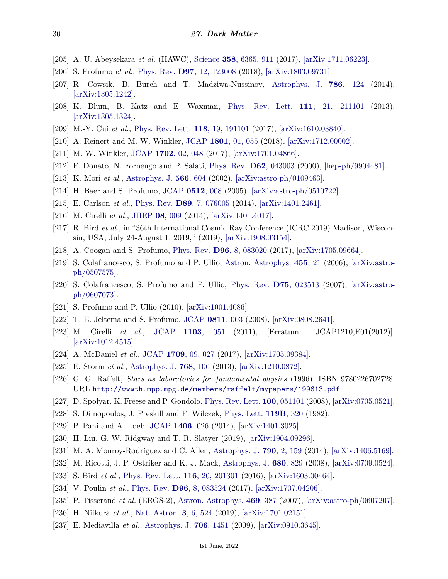- <span id="page-29-0"></span>[205] A. U. Abeysekara *et al.* (HAWC), [Science](http://doi.org/10.1126/science.aan4880) **358**[, 6365, 911](http://doi.org/10.1126/science.aan4880) (2017), [\[arXiv:1711.06223\].](https://arxiv.org/abs/1711.06223)
- <span id="page-29-1"></span>[206] S. Profumo *et al.*, [Phys. Rev.](http://doi.org/10.1103/PhysRevD.97.123008) **D97**[, 12, 123008](http://doi.org/10.1103/PhysRevD.97.123008) (2018), [\[arXiv:1803.09731\].](https://arxiv.org/abs/1803.09731)
- <span id="page-29-2"></span>[207] R. Cowsik, B. Burch and T. Madziwa-Nussinov, [Astrophys. J.](http://doi.org/10.1088/0004-637X/786/2/124) **786**[, 124](http://doi.org/10.1088/0004-637X/786/2/124) (2014), [\[arXiv:1305.1242\].](https://arxiv.org/abs/1305.1242)
- <span id="page-29-3"></span>[208] K. Blum, B. Katz and E. Waxman, [Phys. Rev. Lett.](http://doi.org/10.1103/PhysRevLett.111.211101) **111**[, 21, 211101](http://doi.org/10.1103/PhysRevLett.111.211101) (2013), [\[arXiv:1305.1324\].](https://arxiv.org/abs/1305.1324)
- <span id="page-29-4"></span>[209] M.-Y. Cui *et al.*, [Phys. Rev. Lett.](http://doi.org/10.1103/PhysRevLett.118.191101) **118**[, 19, 191101](http://doi.org/10.1103/PhysRevLett.118.191101) (2017), [\[arXiv:1610.03840\].](https://arxiv.org/abs/1610.03840)
- <span id="page-29-5"></span>[210] A. Reinert and M. W. Winkler, [JCAP](http://doi.org/10.1088/1475-7516/2018/01/055) **1801**[, 01, 055](http://doi.org/10.1088/1475-7516/2018/01/055) (2018), [\[arXiv:1712.00002\].](https://arxiv.org/abs/1712.00002)
- <span id="page-29-6"></span>[211] M. W. Winkler, [JCAP](http://doi.org/10.1088/1475-7516/2017/02/048) **1702**[, 02, 048](http://doi.org/10.1088/1475-7516/2017/02/048) (2017), [\[arXiv:1701.04866\].](https://arxiv.org/abs/1701.04866)
- <span id="page-29-7"></span>[212] F. Donato, N. Fornengo and P. Salati, [Phys. Rev.](http://doi.org/10.1103/PhysRevD.62.043003) **D62**[, 043003](http://doi.org/10.1103/PhysRevD.62.043003) (2000), [\[hep-ph/9904481\].](https://arxiv.org/abs/hep-ph/9904481)
- [213] K. Mori *et al.*, [Astrophys. J.](http://doi.org/10.1086/338057) **566**[, 604](http://doi.org/10.1086/338057) (2002), [\[arXiv:astro-ph/0109463\].](https://arxiv.org/abs/astro-ph/0109463)
- [214] H. Baer and S. Profumo, [JCAP](http://doi.org/10.1088/1475-7516/2005/12/008) **[0512](http://doi.org/10.1088/1475-7516/2005/12/008)**, 008 (2005), [\[arXiv:astro-ph/0510722\].](https://arxiv.org/abs/astro-ph/0510722)
- [215] E. Carlson *et al.*, [Phys. Rev.](http://doi.org/10.1103/PhysRevD.89.076005) **D89**[, 7, 076005](http://doi.org/10.1103/PhysRevD.89.076005) (2014), [\[arXiv:1401.2461\].](https://arxiv.org/abs/1401.2461)
- <span id="page-29-8"></span>[216] M. Cirelli *et al.*, [JHEP](http://doi.org/10.1007/JHEP08(2014)009) **08**[, 009](http://doi.org/10.1007/JHEP08(2014)009) (2014), [\[arXiv:1401.4017\].](https://arxiv.org/abs/1401.4017)
- <span id="page-29-9"></span>[217] R. Bird *et al.*, in "36th International Cosmic Ray Conference (ICRC 2019) Madison, Wisconsin, USA, July 24-August 1, 2019," (2019), [\[arXiv:1908.03154\].](https://arxiv.org/abs/1908.03154)
- <span id="page-29-10"></span>[218] A. Coogan and S. Profumo, [Phys. Rev.](http://doi.org/10.1103/PhysRevD.96.083020) **D96**[, 8, 083020](http://doi.org/10.1103/PhysRevD.96.083020) (2017), [\[arXiv:1705.09664\].](https://arxiv.org/abs/1705.09664)
- <span id="page-29-11"></span>[219] S. Colafrancesco, S. Profumo and P. Ullio, [Astron. Astrophys.](http://doi.org/10.1051/0004-6361:20053887) **[455](http://doi.org/10.1051/0004-6361:20053887)**, 21 (2006), [\[arXiv:astro](https://arxiv.org/abs/astro-ph/0507575)[ph/0507575\].](https://arxiv.org/abs/astro-ph/0507575)
- <span id="page-29-15"></span>[220] S. Colafrancesco, S. Profumo and P. Ullio, [Phys. Rev.](http://doi.org/10.1103/PhysRevD.75.023513) **D75**[, 023513](http://doi.org/10.1103/PhysRevD.75.023513) (2007), [\[arXiv:astro](https://arxiv.org/abs/astro-ph/0607073)[ph/0607073\].](https://arxiv.org/abs/astro-ph/0607073)
- <span id="page-29-12"></span>[221] S. Profumo and P. Ullio (2010), [\[arXiv:1001.4086\].](https://arxiv.org/abs/1001.4086)
- <span id="page-29-13"></span>[222] T. E. Jeltema and S. Profumo, [JCAP](http://doi.org/10.1088/1475-7516/2008/11/003) **[0811](http://doi.org/10.1088/1475-7516/2008/11/003)**, 003 (2008), [\[arXiv:0808.2641\].](https://arxiv.org/abs/0808.2641)
- [223] M. Cirelli *et al.*, [JCAP](http://doi.org/10.1088/1475-7516/2012/10/E01) **1103**[, 051](http://doi.org/10.1088/1475-7516/2012/10/E01) (2011), [Erratum: JCAP1210,E01(2012)], [\[arXiv:1012.4515\].](https://arxiv.org/abs/1012.4515)
- <span id="page-29-14"></span>[224] A. McDaniel *et al.*, [JCAP](http://doi.org/10.1088/1475-7516/2017/09/027) **1709**[, 09, 027](http://doi.org/10.1088/1475-7516/2017/09/027) (2017), [\[arXiv:1705.09384\].](https://arxiv.org/abs/1705.09384)
- <span id="page-29-16"></span>[225] E. Storm *et al.*, [Astrophys. J.](http://doi.org/10.1088/0004-637X/768/2/106) **768**[, 106](http://doi.org/10.1088/0004-637X/768/2/106) (2013), [\[arXiv:1210.0872\].](https://arxiv.org/abs/1210.0872)
- <span id="page-29-17"></span>[226] G. G. Raffelt, *Stars as laboratories for fundamental physics* (1996), ISBN 9780226702728, URL <http://wwwth.mpp.mpg.de/members/raffelt/mypapers/199613.pdf>.
- <span id="page-29-18"></span>[227] D. Spolyar, K. Freese and P. Gondolo, [Phys. Rev. Lett.](http://doi.org/10.1103/PhysRevLett.100.051101) **100**[, 051101](http://doi.org/10.1103/PhysRevLett.100.051101) (2008), [\[arXiv:0705.0521\].](https://arxiv.org/abs/0705.0521)
- <span id="page-29-19"></span>[228] S. Dimopoulos, J. Preskill and F. Wilczek, [Phys. Lett.](http://doi.org/10.1016/0370-2693(82)90679-7) **[119B](http://doi.org/10.1016/0370-2693(82)90679-7)**, 320 (1982).
- <span id="page-29-20"></span>[229] P. Pani and A. Loeb, [JCAP](http://doi.org/10.1088/1475-7516/2014/06/026) **[1406](http://doi.org/10.1088/1475-7516/2014/06/026)**, 026 (2014), [\[arXiv:1401.3025\].](https://arxiv.org/abs/1401.3025)
- <span id="page-29-21"></span>[230] H. Liu, G. W. Ridgway and T. R. Slatyer (2019), [\[arXiv:1904.09296\].](https://arxiv.org/abs/1904.09296)
- <span id="page-29-22"></span>[231] M. A. Monroy-Rodríguez and C. Allen, [Astrophys. J.](http://doi.org/10.1088/0004-637X/790/2/159) **790**[, 2, 159](http://doi.org/10.1088/0004-637X/790/2/159) (2014), [\[arXiv:1406.5169\].](https://arxiv.org/abs/1406.5169)
- <span id="page-29-23"></span>[232] M. Ricotti, J. P. Ostriker and K. J. Mack, [Astrophys. J.](http://doi.org/10.1086/587831) **680**[, 829](http://doi.org/10.1086/587831) (2008), [\[arXiv:0709.0524\].](https://arxiv.org/abs/0709.0524)
- <span id="page-29-24"></span>[233] S. Bird *et al.*, [Phys. Rev. Lett.](http://doi.org/10.1103/PhysRevLett.116.201301) **116**[, 20, 201301](http://doi.org/10.1103/PhysRevLett.116.201301) (2016), [\[arXiv:1603.00464\].](https://arxiv.org/abs/1603.00464)
- <span id="page-29-25"></span>[234] V. Poulin *et al.*, [Phys. Rev.](http://doi.org/10.1103/PhysRevD.96.083524) **D96**[, 8, 083524](http://doi.org/10.1103/PhysRevD.96.083524) (2017), [\[arXiv:1707.04206\].](https://arxiv.org/abs/1707.04206)
- <span id="page-29-26"></span>[235] P. Tisserand *et al.* (EROS-2), [Astron. Astrophys.](http://doi.org/10.1051/0004-6361:20066017) **469**[, 387](http://doi.org/10.1051/0004-6361:20066017) (2007), [\[arXiv:astro-ph/0607207\].](https://arxiv.org/abs/astro-ph/0607207)
- <span id="page-29-27"></span>[236] H. Niikura *et al.*, [Nat. Astron.](http://doi.org/10.1038/s41550-019-0723-1) **3**[, 6, 524](http://doi.org/10.1038/s41550-019-0723-1) (2019), [\[arXiv:1701.02151\].](https://arxiv.org/abs/1701.02151)
- <span id="page-29-28"></span>[237] E. Mediavilla *et al.*, [Astrophys. J.](http://doi.org/10.1088/0004-637X/706/2/1451) **706**[, 1451](http://doi.org/10.1088/0004-637X/706/2/1451) (2009), [\[arXiv:0910.3645\].](https://arxiv.org/abs/0910.3645)